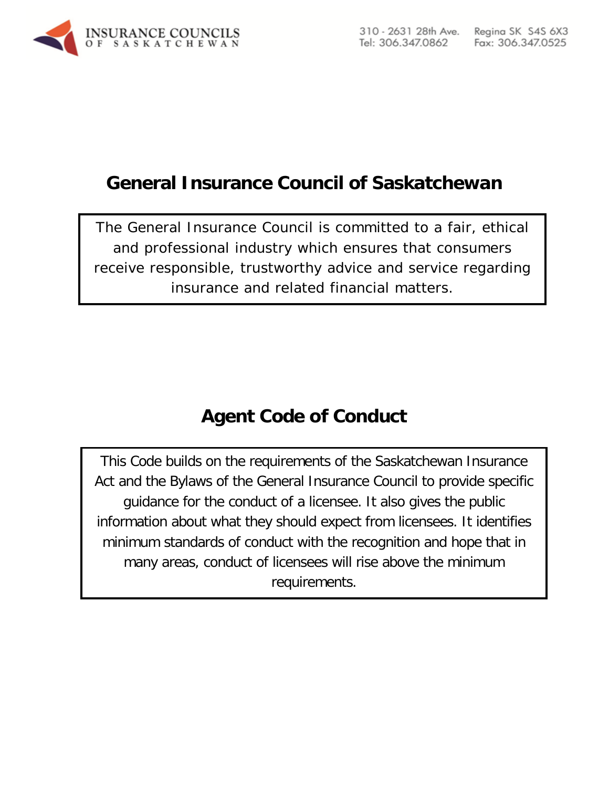<span id="page-0-0"></span>

# **General Insurance Council of Saskatchewan**

The General Insurance Council is committed to a fair, ethical and professional industry which ensures that consumers receive responsible, trustworthy advice and service regarding insurance and related financial matters.

# **Agent Code of Conduct**

<span id="page-0-1"></span>This Code builds on the requirements of the Saskatchewan Insurance Act and the Bylaws of the General Insurance Council to provide specific guidance for the conduct of a licensee. It also gives the public information about what they should expect from licensees. It identifies minimum standards of conduct with the recognition and hope that in many areas, conduct of licensees will rise above the minimum requirements.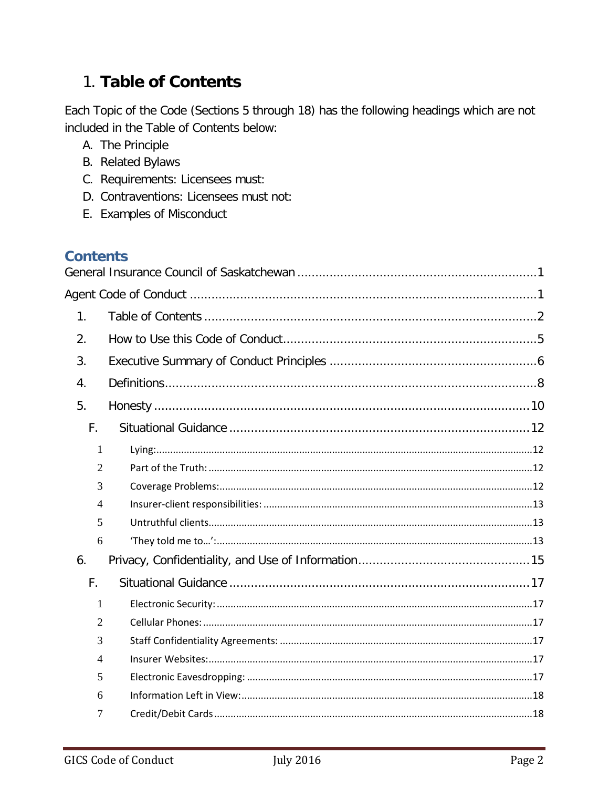# <span id="page-1-0"></span>1. Table of Contents

Each Topic of the Code (Sections 5 through 18) has the following headings which are not included in the Table of Contents below:

- A. The Principle
- **B.** Related Bylaws
- C. Requirements: Licensees must:
- D. Contraventions: Licensees must not:
- E. Examples of Misconduct

## **Contents**

| 1.             |  |  |  |  |
|----------------|--|--|--|--|
| 2.             |  |  |  |  |
| 3.             |  |  |  |  |
| 4.             |  |  |  |  |
| 5.             |  |  |  |  |
| F.             |  |  |  |  |
| 1              |  |  |  |  |
| 2              |  |  |  |  |
| 3              |  |  |  |  |
| $\overline{4}$ |  |  |  |  |
| 5              |  |  |  |  |
| 6              |  |  |  |  |
| 6.             |  |  |  |  |
| F.             |  |  |  |  |
| 1              |  |  |  |  |
| $\overline{2}$ |  |  |  |  |
| 3              |  |  |  |  |
| $\overline{4}$ |  |  |  |  |
| 5              |  |  |  |  |
| 6              |  |  |  |  |
| 7              |  |  |  |  |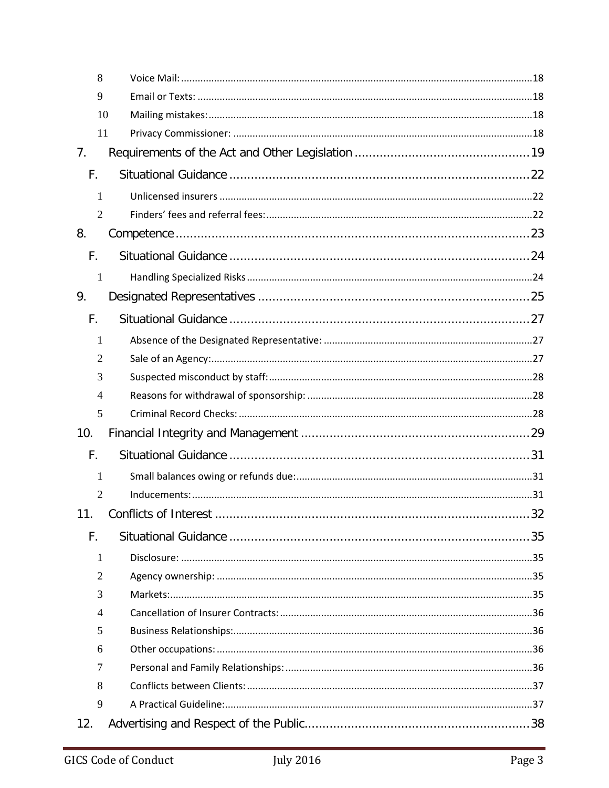| 8              |                             |
|----------------|-----------------------------|
| 9              |                             |
| 10             |                             |
| 11             |                             |
| 7.             |                             |
| F.             |                             |
| 1              |                             |
| $\overline{2}$ |                             |
| 8.             |                             |
| F.             |                             |
| 1              |                             |
| 9.             |                             |
| F.             |                             |
| 1              |                             |
| $\overline{2}$ |                             |
| 3              |                             |
| $\overline{4}$ |                             |
|                |                             |
| 5              |                             |
| 10.            |                             |
| F.             |                             |
| 1              |                             |
| $\overline{2}$ |                             |
| 11.            | 32<br>Conflicts of Interest |
| F.             |                             |
| $\mathbf{1}$   |                             |
| $\overline{2}$ |                             |
| 3              |                             |
| $\overline{4}$ |                             |
| 5              |                             |
| 6              |                             |
| 7              |                             |
| 8              |                             |
| 9              |                             |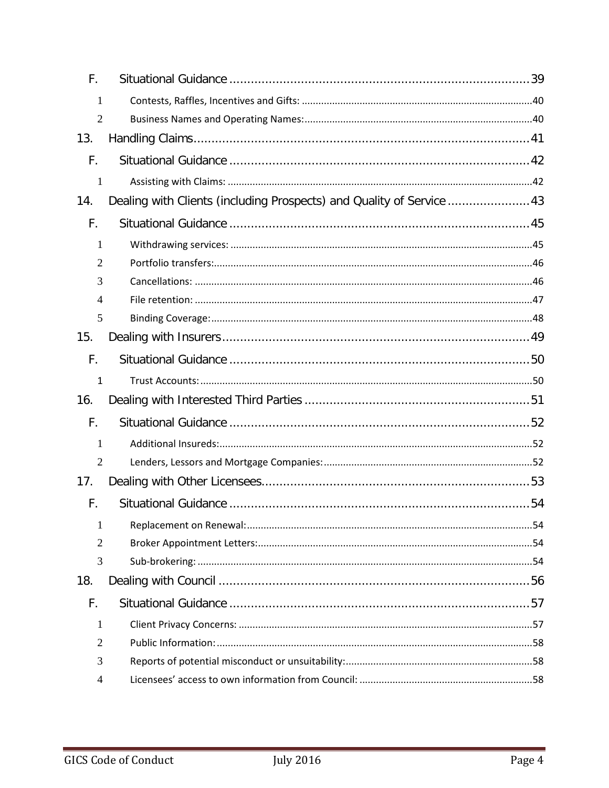| F.             |                                                                       |  |
|----------------|-----------------------------------------------------------------------|--|
| 1              |                                                                       |  |
| $\overline{2}$ |                                                                       |  |
| 13.            |                                                                       |  |
| F.             |                                                                       |  |
| 1              |                                                                       |  |
| 14.            | Dealing with Clients (including Prospects) and Quality of Service  43 |  |
| F.             |                                                                       |  |
| 1              |                                                                       |  |
| $\overline{2}$ |                                                                       |  |
| 3              |                                                                       |  |
| 4              |                                                                       |  |
| 5              |                                                                       |  |
| 15.            |                                                                       |  |
| F.             |                                                                       |  |
| $\mathbf{1}$   |                                                                       |  |
| 16.            |                                                                       |  |
| F.             |                                                                       |  |
| 1              |                                                                       |  |
| $\overline{2}$ |                                                                       |  |
| 17.            |                                                                       |  |
| F.             |                                                                       |  |
| 1              |                                                                       |  |
| $\overline{2}$ |                                                                       |  |
| 3              |                                                                       |  |
| 18.            |                                                                       |  |
| F.             |                                                                       |  |
| $\mathbf{1}$   |                                                                       |  |
| $\overline{2}$ |                                                                       |  |
| 3              |                                                                       |  |
| $\overline{4}$ |                                                                       |  |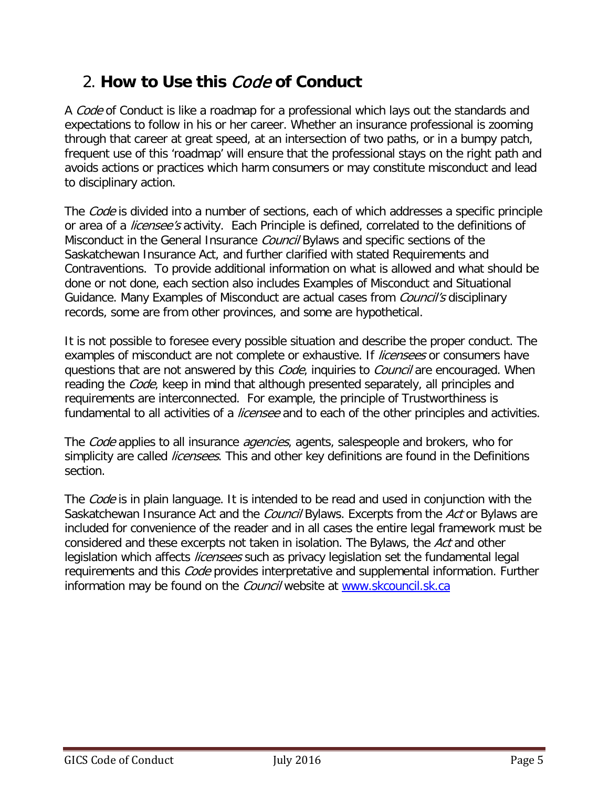## <span id="page-4-0"></span>2. **How to Use this** Code **of Conduct**

A *Code* of Conduct is like a roadmap for a professional which lays out the standards and expectations to follow in his or her career. Whether an insurance professional is zooming through that career at great speed, at an intersection of two paths, or in a bumpy patch, frequent use of this 'roadmap' will ensure that the professional stays on the right path and avoids actions or practices which harm consumers or may constitute misconduct and lead to disciplinary action.

The *Code* is divided into a number of sections, each of which addresses a specific principle or area of a *licensee's* activity. Each Principle is defined, correlated to the definitions of Misconduct in the General Insurance Council Bylaws and specific sections of the Saskatchewan Insurance Act, and further clarified with stated Requirements and Contraventions. To provide additional information on what is allowed and what should be done or not done, each section also includes Examples of Misconduct and Situational Guidance. Many Examples of Misconduct are actual cases from *Council's* disciplinary records, some are from other provinces, and some are hypothetical.

It is not possible to foresee every possible situation and describe the proper conduct. The examples of misconduct are not complete or exhaustive. If *licensees* or consumers have questions that are not answered by this *Code*, inquiries to *Council* are encouraged. When reading the *Code*, keep in mind that although presented separately, all principles and requirements are interconnected. For example, the principle of Trustworthiness is fundamental to all activities of a *licensee* and to each of the other principles and activities.

The *Code* applies to all insurance *agencies*, agents, salespeople and brokers, who for simplicity are called *licensees*. This and other key definitions are found in the Definitions section.

The Code is in plain language. It is intended to be read and used in conjunction with the Saskatchewan Insurance Act and the *Council* Bylaws. Excerpts from the Act or Bylaws are included for convenience of the reader and in all cases the entire legal framework must be considered and these excerpts not taken in isolation. The Bylaws, the Act and other legislation which affects *licensees* such as privacy legislation set the fundamental legal requirements and this *Code* provides interpretative and supplemental information. Further information may be found on the *Council* website at [www.skcouncil.sk.ca](http://www.skcouncil.sk.ca/)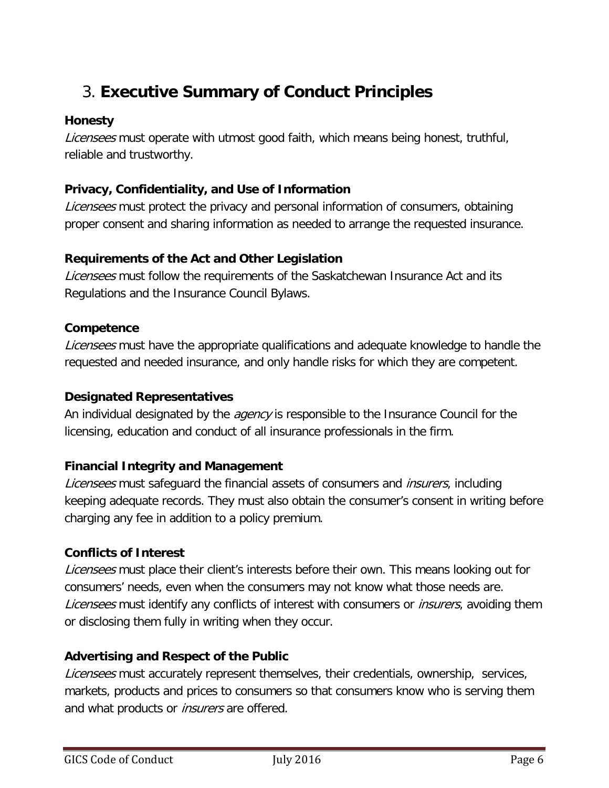# <span id="page-5-0"></span>3. **Executive Summary of Conduct Principles**

### **Honesty**

Licensees must operate with utmost good faith, which means being honest, truthful, reliable and trustworthy.

## **Privacy, Confidentiality, and Use of Information**

Licensees must protect the privacy and personal information of consumers, obtaining proper consent and sharing information as needed to arrange the requested insurance.

## **Requirements of the Act and Other Legislation**

Licensees must follow the requirements of the Saskatchewan Insurance Act and its Regulations and the Insurance Council Bylaws.

## **Competence**

Licensees must have the appropriate qualifications and adequate knowledge to handle the requested and needed insurance, and only handle risks for which they are competent.

### **Designated Representatives**

An individual designated by the *agency* is responsible to the Insurance Council for the licensing, education and conduct of all insurance professionals in the firm.

## **Financial Integrity and Management**

Licensees must safequard the financial assets of consumers and *insurers*, including keeping adequate records. They must also obtain the consumer's consent in writing before charging any fee in addition to a policy premium.

## **Conflicts of Interest**

Licensees must place their client's interests before their own. This means looking out for consumers' needs, even when the consumers may not know what those needs are. Licensees must identify any conflicts of interest with consumers or *insurers*, avoiding them or disclosing them fully in writing when they occur.

## **Advertising and Respect of the Public**

Licensees must accurately represent themselves, their credentials, ownership, services, markets, products and prices to consumers so that consumers know who is serving them and what products or *insurers* are offered.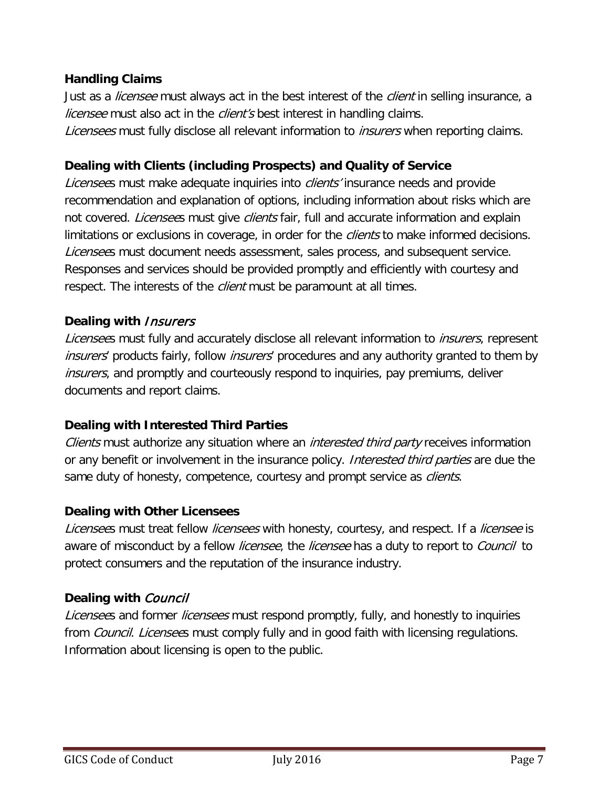### **Handling Claims**

Just as a *licensee* must always act in the best interest of the *client* in selling insurance, a *licensee* must also act in the *client's* best interest in handling claims. Licensees must fully disclose all relevant information to *insurers* when reporting claims.

### **Dealing with Clients (including Prospects) and Quality of Service**

Licensees must make adequate inquiries into *clients'* insurance needs and provide recommendation and explanation of options, including information about risks which are not covered. *Licensee*s must give *clients* fair, full and accurate information and explain limitations or exclusions in coverage, in order for the *clients* to make informed decisions. Licensees must document needs assessment, sales process, and subsequent service. Responses and services should be provided promptly and efficiently with courtesy and respect. The interests of the *client* must be paramount at all times.

### **Dealing with** Insurers

Licensees must fully and accurately disclose all relevant information to *insurers*, represent insurers' products fairly, follow insurers' procedures and any authority granted to them by insurers, and promptly and courteously respond to inquiries, pay premiums, deliver documents and report claims.

#### **Dealing with Interested Third Parties**

Clients must authorize any situation where an *interested third party* receives information or any benefit or involvement in the insurance policy. *Interested third parties* are due the same duty of honesty, competence, courtesy and prompt service as *clients*.

#### **Dealing with Other Licensees**

Licensees must treat fellow *licensees* with honesty, courtesy, and respect. If a *licensee* is aware of misconduct by a fellow *licensee*, the *licensee* has a duty to report to *Council* to protect consumers and the reputation of the insurance industry.

## **Dealing with** Council

Licensees and former licensees must respond promptly, fully, and honestly to inquiries from *Council. Licensee*s must comply fully and in good faith with licensing regulations. Information about licensing is open to the public.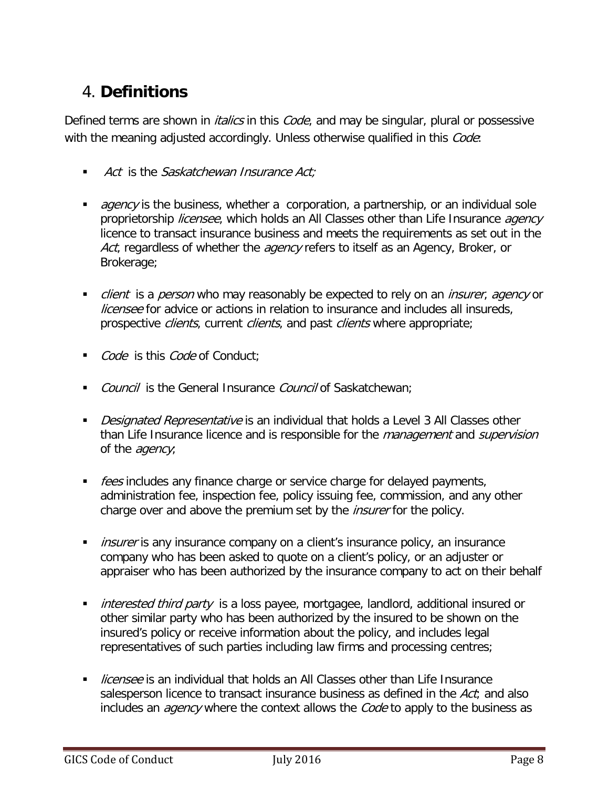## <span id="page-7-0"></span>4. **Definitions**

Defined terms are shown in *italics* in this *Code*, and may be singular, plural or possessive with the meaning adjusted accordingly. Unless otherwise qualified in this *Code*:

- Act is the Saskatchewan Insurance  $Act$ ;
- **agency** is the business, whether a corporation, a partnership, or an individual sole proprietorship *licensee*, which holds an All Classes other than Life Insurance agency licence to transact insurance business and meets the requirements as set out in the Act, regardless of whether the *agency* refers to itself as an Agency, Broker, or Brokerage;
- client is a person who may reasonably be expected to rely on an *insurer, agency* or *licensee* for advice or actions in relation to insurance and includes all insureds, prospective *clients*, current *clients*, and past *clients* where appropriate;
- Code is this Code of Conduct;
- Council is the General Insurance Council of Saskatchewan;
- Designated Representative is an individual that holds a Level 3 All Classes other than Life Insurance licence and is responsible for the *management* and *supervision* of the *agency*;
- Fees includes any finance charge or service charge for delayed payments, administration fee, inspection fee, policy issuing fee, commission, and any other charge over and above the premium set by the *insurer* for the policy.
- **insurer is any insurance company on a client's insurance policy, an insurance** company who has been asked to quote on a client's policy, or an adjuster or appraiser who has been authorized by the insurance company to act on their behalf
- **interested third party is a loss payee, mortgagee, landlord, additional insured or** other similar party who has been authorized by the insured to be shown on the insured's policy or receive information about the policy, and includes legal representatives of such parties including law firms and processing centres;
- **I** *licensee* is an individual that holds an All Classes other than Life Insurance salesperson licence to transact insurance business as defined in the Act; and also includes an *agency* where the context allows the *Code* to apply to the business as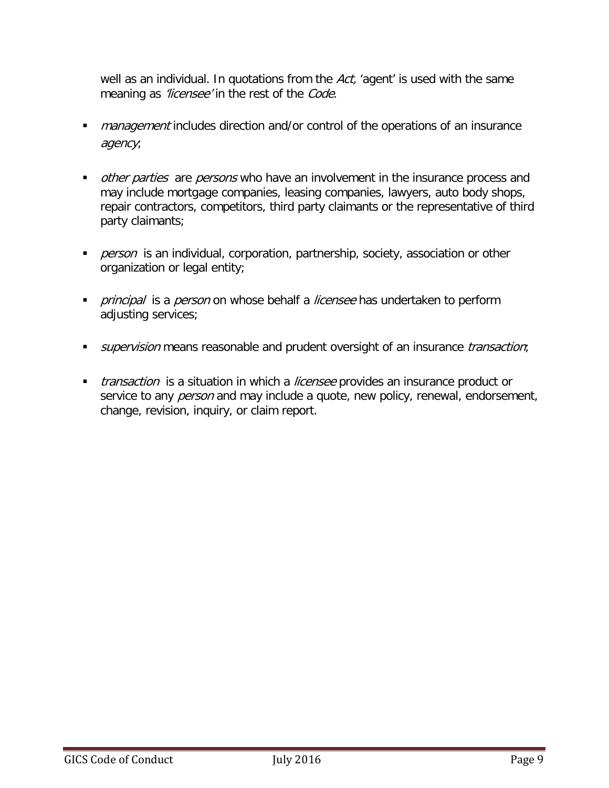well as an individual. In quotations from the Act, 'agent' is used with the same meaning as 'licensee' in the rest of the Code.

- management includes direction and/or control of the operations of an insurance agency;
- other parties are persons who have an involvement in the insurance process and may include mortgage companies, leasing companies, lawyers, auto body shops, repair contractors, competitors, third party claimants or the representative of third party claimants;
- person is an individual, corporation, partnership, society, association or other organization or legal entity;
- **Part of the set of the set of the set of the set of the set of the set of the set of the set of the set of the set of the set of the set of the set of the set of the set of the set of the set of the set of the set of the** adjusting services;
- supervision means reasonable and prudent oversight of an insurance *transaction*;
- **transaction** is a situation in which a *licensee* provides an insurance product or service to any *person* and may include a quote, new policy, renewal, endorsement, change, revision, inquiry, or claim report.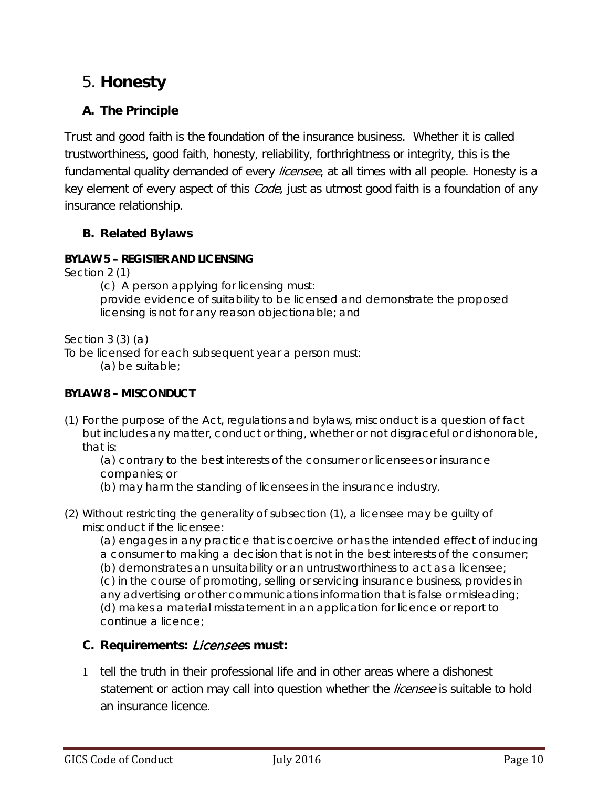# <span id="page-9-0"></span>5. **Honesty**

## **A. The Principle**

Trust and good faith is the foundation of the insurance business. Whether it is called trustworthiness, good faith, honesty, reliability, forthrightness or integrity, this is the fundamental quality demanded of every *licensee*, at all times with all people. Honesty is a key element of every aspect of this *Code*, just as utmost good faith is a foundation of any insurance relationship.

### **B. Related Bylaws**

#### **BYLAW 5 – REGISTER AND LICENSING**

Section 2 (1)

(c) A person applying for licensing must:

provide evidence of suitability to be licensed and demonstrate the proposed licensing is not for any reason objectionable; and

Section 3 (3) (a)

To be licensed for each subsequent year a person must: (a) be suitable;

#### **BYLAW 8 – MISCONDUCT**

(1) For the purpose of the Act, regulations and bylaws, misconduct is a question of fact but includes any matter, conduct or thing, whether or not disgraceful or dishonorable, that is:

(a) contrary to the best interests of the consumer or licensees or insurance companies; or

- (b) may harm the standing of licensees in the insurance industry.
- (2) Without restricting the generality of subsection (1), a licensee may be guilty of misconduct if the licensee:

(a) engages in any practice that is coercive or has the intended effect of inducing a consumer to making a decision that is not in the best interests of the consumer; (b) demonstrates an unsuitability or an untrustworthiness to act as a licensee; (c) in the course of promoting, selling or servicing insurance business, provides in any advertising or other communications information that is false or misleading; (d) makes a material misstatement in an application for licence or report to continue a licence;

#### **C. Requirements:** Licensee**s must:**

1 tell the truth in their professional life and in other areas where a dishonest statement or action may call into question whether the *licensee* is suitable to hold an insurance licence.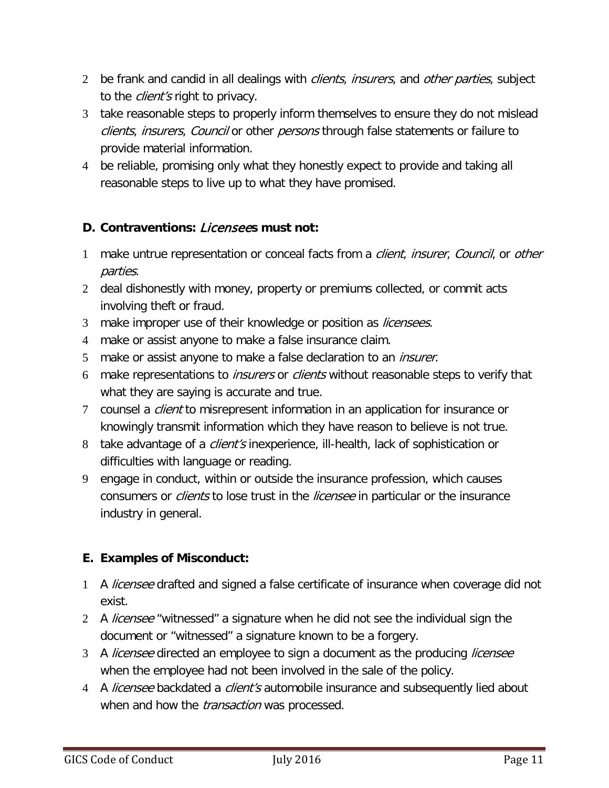- 2 be frank and candid in all dealings with *clients, insurers,* and *other parties*, subject to the *client's* right to privacy.
- 3 take reasonable steps to properly inform themselves to ensure they do not mislead clients, insurers, Council or other persons through false statements or failure to provide material information.
- 4 be reliable, promising only what they honestly expect to provide and taking all reasonable steps to live up to what they have promised.

## **D. Contraventions:** Licensee**s must not:**

- 1 make untrue representation or conceal facts from a *client, insurer, Council*, or *other* parties.
- 2 deal dishonestly with money, property or premiums collected, or commit acts involving theft or fraud.
- 3 make improper use of their knowledge or position as *licensees*.
- 4 make or assist anyone to make a false insurance claim.
- 5 make or assist anyone to make a false declaration to an *insurer*.
- 6 make representations to *insurers* or *clients* without reasonable steps to verify that what they are saying is accurate and true.
- 7 counsel a *client* to misrepresent information in an application for insurance or knowingly transmit information which they have reason to believe is not true.
- 8 take advantage of a *client's* inexperience, ill-health, lack of sophistication or difficulties with language or reading.
- 9 engage in conduct, within or outside the insurance profession, which causes consumers or *clients* to lose trust in the *licensee* in particular or the insurance industry in general.

## **E. Examples of Misconduct:**

- 1 A licensee drafted and signed a false certificate of insurance when coverage did not exist.
- 2 A licensee "witnessed" a signature when he did not see the individual sign the document or "witnessed" a signature known to be a forgery.
- 3 A licensee directed an employee to sign a document as the producing licensee when the employee had not been involved in the sale of the policy.
- 4 A licensee backdated a client's automobile insurance and subsequently lied about when and how the *transaction* was processed.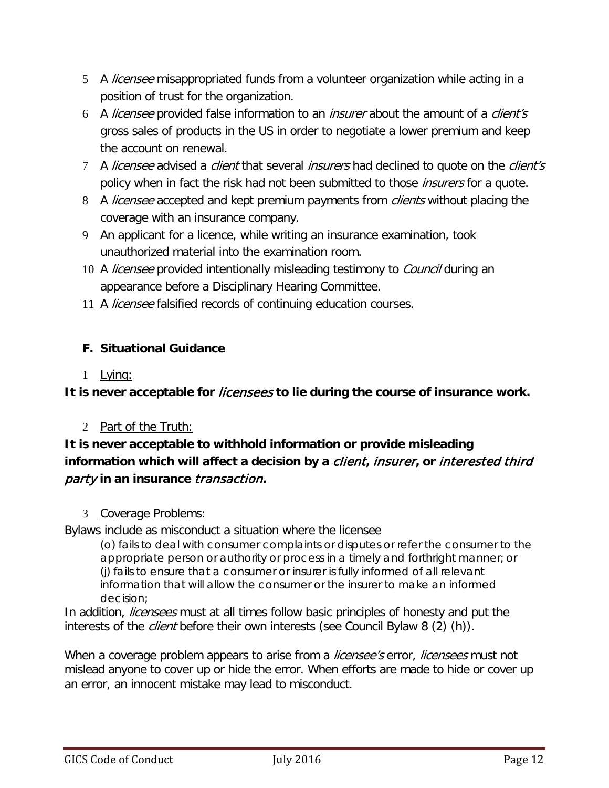- 5 A *licensee* misappropriated funds from a volunteer organization while acting in a position of trust for the organization.
- 6 A licensee provided false information to an *insurer* about the amount of a *client's* gross sales of products in the US in order to negotiate a lower premium and keep the account on renewal.
- 7 A licensee advised a client that several insurers had declined to quote on the client's policy when in fact the risk had not been submitted to those *insurers* for a quote.
- 8 A licensee accepted and kept premium payments from clients without placing the coverage with an insurance company.
- 9 An applicant for a licence, while writing an insurance examination, took unauthorized material into the examination room.
- 10 A *licensee* provided intentionally misleading testimony to *Council* during an appearance before a Disciplinary Hearing Committee.
- 11 A *licensee* falsified records of continuing education courses.

## <span id="page-11-0"></span>**F. Situational Guidance**

1 Lying:

## <span id="page-11-1"></span>**It is never acceptable for** licensees **to lie during the course of insurance work.**

2 Part of the Truth:

## <span id="page-11-2"></span>**It is never acceptable to withhold information or provide misleading information which will affect a decision by a** client**,** insurer**, or** interested third party **in an insurance** transaction**.**

#### 3 Coverage Problems:

<span id="page-11-3"></span>Bylaws include as misconduct a situation where the licensee

(o) fails to deal with consumer complaints or disputes or refer the consumer to the appropriate person or authority or process in a timely and forthright manner; or (j) fails to ensure that a consumer or insurer is fully informed of all relevant information that will allow the consumer or the insurer to make an informed decision;

In addition, *licensees* must at all times follow basic principles of honesty and put the interests of the *client* before their own interests (see Council Bylaw 8 (2) (h)).

When a coverage problem appears to arise from a *licensee's* error, *licensees* must not mislead anyone to cover up or hide the error. When efforts are made to hide or cover up an error, an innocent mistake may lead to misconduct.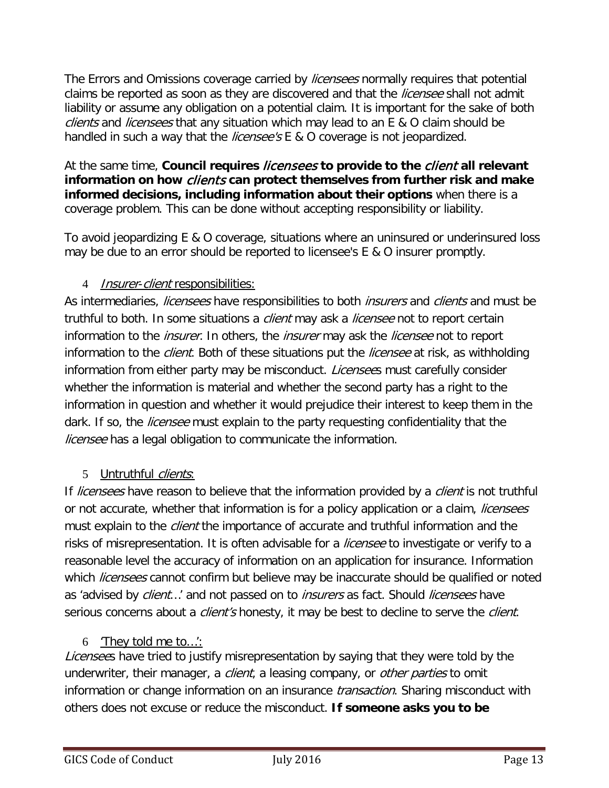The Errors and Omissions coverage carried by *licensees* normally requires that potential claims be reported as soon as they are discovered and that the *licensee* shall not admit liability or assume any obligation on a potential claim. It is important for the sake of both clients and licensees that any situation which may lead to an E & O claim should be handled in such a way that the *licensee's* E & O coverage is not jeopardized.

At the same time, **Council requires** licensees **to provide to the** client **all relevant information on how** clients **can protect themselves from further risk and make informed decisions, including information about their options** when there is a coverage problem. This can be done without accepting responsibility or liability.

To avoid jeopardizing E & O coverage, situations where an uninsured or underinsured loss may be due to an error should be reported to licensee's E & O insurer promptly.

### 4 Insurer-client responsibilities:

<span id="page-12-0"></span>As intermediaries, *licensees* have responsibilities to both *insurers* and *clients* and must be truthful to both. In some situations a *client* may ask a *licensee* not to report certain information to the *insurer*. In others, the *insurer* may ask the *licensee* not to report information to the *client*. Both of these situations put the *licensee* at risk, as withholding information from either party may be misconduct. *Licensee*s must carefully consider whether the information is material and whether the second party has a right to the information in question and whether it would prejudice their interest to keep them in the dark. If so, the *licensee* must explain to the party requesting confidentiality that the licensee has a legal obligation to communicate the information.

#### 5 Untruthful *clients*:

<span id="page-12-1"></span>If *licensees* have reason to believe that the information provided by a *client* is not truthful or not accurate, whether that information is for a policy application or a claim, *licensees* must explain to the *client* the importance of accurate and truthful information and the risks of misrepresentation. It is often advisable for a *licensee* to investigate or verify to a reasonable level the accuracy of information on an application for insurance. Information which *licensees* cannot confirm but believe may be inaccurate should be qualified or noted as 'advised by *client...*' and not passed on to *insurers* as fact. Should *licensees* have serious concerns about a *client's* honesty, it may be best to decline to serve the *client*.

#### <span id="page-12-2"></span>6 'They told me to…':

Licensees have tried to justify misrepresentation by saying that they were told by the underwriter, their manager, a client, a leasing company, or other parties to omit information or change information on an insurance *transaction*. Sharing misconduct with others does not excuse or reduce the misconduct. **If someone asks you to be**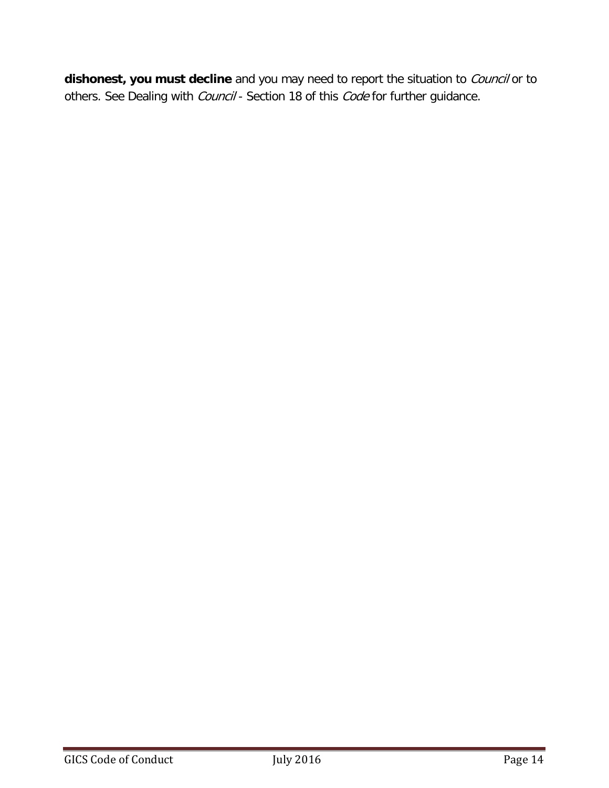dishonest, you must decline and you may need to report the situation to *Council* or to others. See Dealing with Council - Section 18 of this Code for further guidance.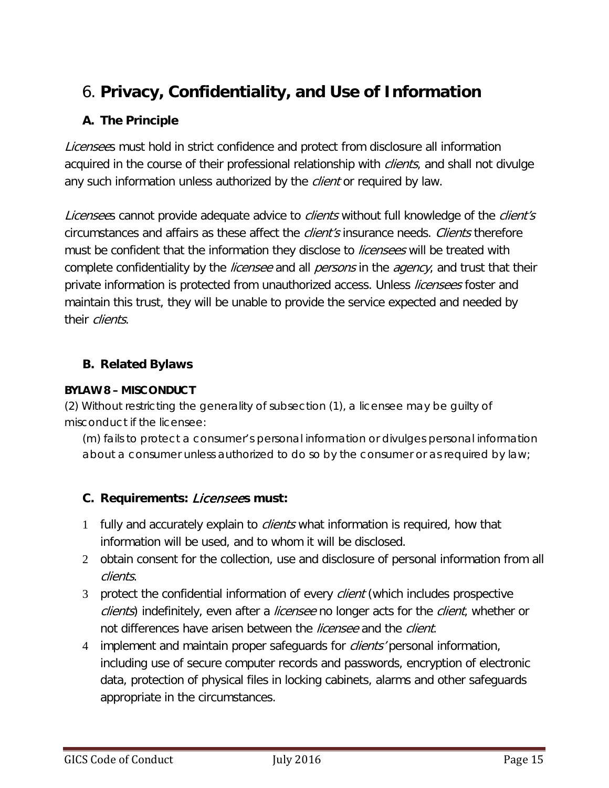# <span id="page-14-0"></span>6. **Privacy, Confidentiality, and Use of Information**

## **A. The Principle**

Licensees must hold in strict confidence and protect from disclosure all information acquired in the course of their professional relationship with *clients*, and shall not divulge any such information unless authorized by the *client* or required by law.

Licensees cannot provide adequate advice to *clients* without full knowledge of the *client's* circumstances and affairs as these affect the *client's* insurance needs. *Clients* therefore must be confident that the information they disclose to *licensees* will be treated with complete confidentiality by the *licensee* and all *persons* in the *agency*, and trust that their private information is protected from unauthorized access. Unless *licensees* foster and maintain this trust, they will be unable to provide the service expected and needed by their *clients*.

## **B. Related Bylaws**

#### **BYLAW 8 – MISCONDUCT**

(2) Without restricting the generality of subsection (1), a licensee may be guilty of misconduct if the licensee:

(m) fails to protect a consumer's personal information or divulges personal information about a consumer unless authorized to do so by the consumer or as required by law;

## **C. Requirements:** Licensee**s must:**

- 1 fully and accurately explain to *clients* what information is required, how that information will be used, and to whom it will be disclosed.
- 2 obtain consent for the collection, use and disclosure of personal information from all clients.
- 3 protect the confidential information of every *client* (which includes prospective clients) indefinitely, even after a *licensee* no longer acts for the *client*, whether or not differences have arisen between the *licensee* and the *client*.
- 4 implement and maintain proper safeguards for *clients'* personal information, including use of secure computer records and passwords, encryption of electronic data, protection of physical files in locking cabinets, alarms and other safeguards appropriate in the circumstances.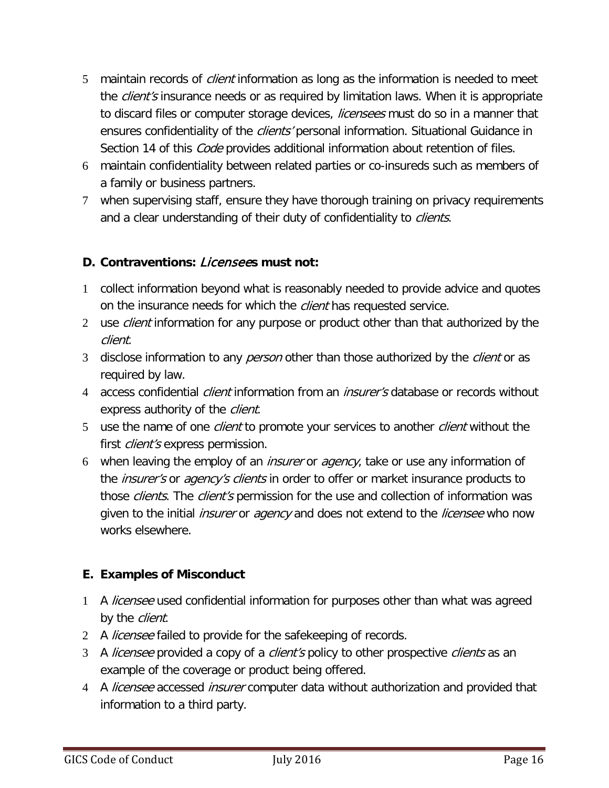- 5 maintain records of *client* information as long as the information is needed to meet the *client's* insurance needs or as required by limitation laws. When it is appropriate to discard files or computer storage devices, *licensees* must do so in a manner that ensures confidentiality of the *clients'* personal information. Situational Guidance in Section 14 of this *Code* provides additional information about retention of files.
- 6 maintain confidentiality between related parties or co-insureds such as members of a family or business partners.
- 7 when supervising staff, ensure they have thorough training on privacy requirements and a clear understanding of their duty of confidentiality to clients.

## **D. Contraventions:** Licensee**s must not:**

- 1 collect information beyond what is reasonably needed to provide advice and quotes on the insurance needs for which the *client* has requested service.
- 2 use *client* information for any purpose or product other than that authorized by the client.
- 3 disclose information to any *person* other than those authorized by the *client* or as required by law.
- 4 access confidential *client* information from an *insurer's* database or records without express authority of the *client*.
- 5 use the name of one *client* to promote your services to another *client* without the first *client's* express permission.
- 6 when leaving the employ of an *insurer* or *agency*, take or use any information of the *insurer's* or *agency's clients* in order to offer or market insurance products to those *clients*. The *client's* permission for the use and collection of information was given to the initial *insurer* or *agency* and does not extend to the *licensee* who now works elsewhere.

## **E. Examples of Misconduct**

- 1 A licensee used confidential information for purposes other than what was agreed by the *client*.
- 2 A *licensee* failed to provide for the safekeeping of records.
- 3 A licensee provided a copy of a client's policy to other prospective clients as an example of the coverage or product being offered.
- 4 A licensee accessed insurer computer data without authorization and provided that information to a third party.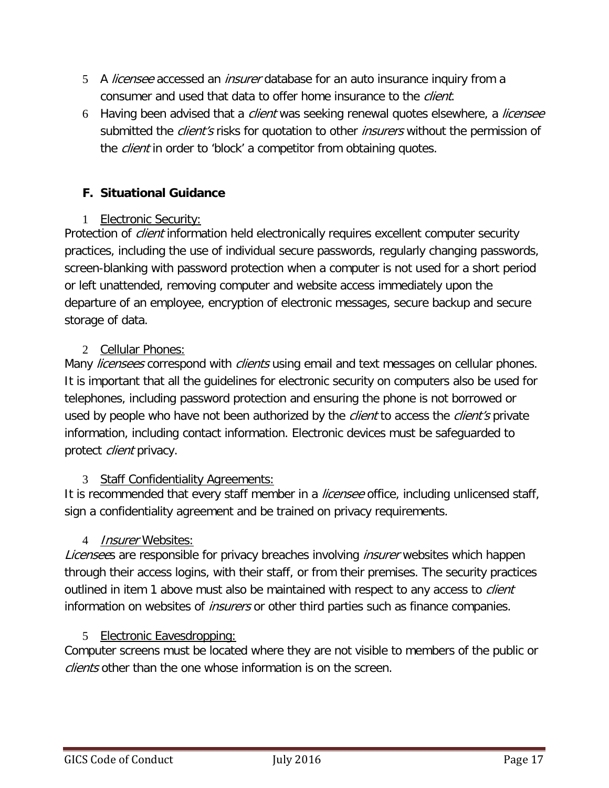- 5 A licensee accessed an insurer database for an auto insurance inquiry from a consumer and used that data to offer home insurance to the *client*.
- 6 Having been advised that a *client* was seeking renewal quotes elsewhere, a *licensee* submitted the *client's* risks for quotation to other *insurers* without the permission of the *client* in order to 'block' a competitor from obtaining quotes.

## <span id="page-16-0"></span>**F. Situational Guidance**

### 1 Electronic Security:

<span id="page-16-1"></span>Protection of *client* information held electronically requires excellent computer security practices, including the use of individual secure passwords, regularly changing passwords, screen-blanking with password protection when a computer is not used for a short period or left unattended, removing computer and website access immediately upon the departure of an employee, encryption of electronic messages, secure backup and secure storage of data.

## <span id="page-16-2"></span>2 Cellular Phones:

Many *licensees* correspond with *clients* using email and text messages on cellular phones. It is important that all the guidelines for electronic security on computers also be used for telephones, including password protection and ensuring the phone is not borrowed or used by people who have not been authorized by the *client* to access the *client's* private information, including contact information. Electronic devices must be safeguarded to protect *client* privacy.

## <span id="page-16-3"></span>3 Staff Confidentiality Agreements:

It is recommended that every staff member in a *licensee* office, including unlicensed staff, sign a confidentiality agreement and be trained on privacy requirements.

## <span id="page-16-4"></span>4 Insurer Websites:

Licensees are responsible for privacy breaches involving *insurer* websites which happen through their access logins, with their staff, or from their premises. The security practices outlined in item 1 above must also be maintained with respect to any access to *client* information on websites of *insurers* or other third parties such as finance companies.

## <span id="page-16-5"></span>5 Electronic Eavesdropping:

Computer screens must be located where they are not visible to members of the public or clients other than the one whose information is on the screen.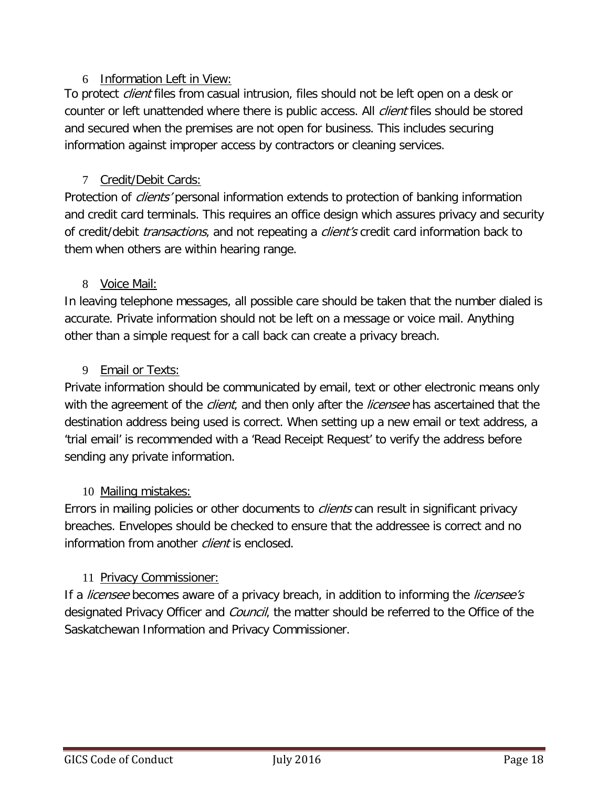#### 6 Information Left in View:

<span id="page-17-0"></span>To protect *client* files from casual intrusion, files should not be left open on a desk or counter or left unattended where there is public access. All *client* files should be stored and secured when the premises are not open for business. This includes securing information against improper access by contractors or cleaning services.

## 7 Credit/Debit Cards:

<span id="page-17-1"></span>Protection of *clients'* personal information extends to protection of banking information and credit card terminals. This requires an office design which assures privacy and security of credit/debit *transactions*, and not repeating a *client's* credit card information back to them when others are within hearing range.

### 8 Voice Mail:

<span id="page-17-2"></span>In leaving telephone messages, all possible care should be taken that the number dialed is accurate. Private information should not be left on a message or voice mail. Anything other than a simple request for a call back can create a privacy breach.

### 9 Email or Texts:

<span id="page-17-3"></span>Private information should be communicated by email, text or other electronic means only with the agreement of the *client*, and then only after the *licensee* has ascertained that the destination address being used is correct. When setting up a new email or text address, a 'trial email' is recommended with a 'Read Receipt Request' to verify the address before sending any private information.

## 10 Mailing mistakes:

<span id="page-17-4"></span>Errors in mailing policies or other documents to *clients* can result in significant privacy breaches. Envelopes should be checked to ensure that the addressee is correct and no information from another *client* is enclosed.

## 11 Privacy Commissioner:

<span id="page-17-5"></span>If a *licensee* becomes aware of a privacy breach, in addition to informing the *licensee's* designated Privacy Officer and *Council*, the matter should be referred to the Office of the Saskatchewan Information and Privacy Commissioner.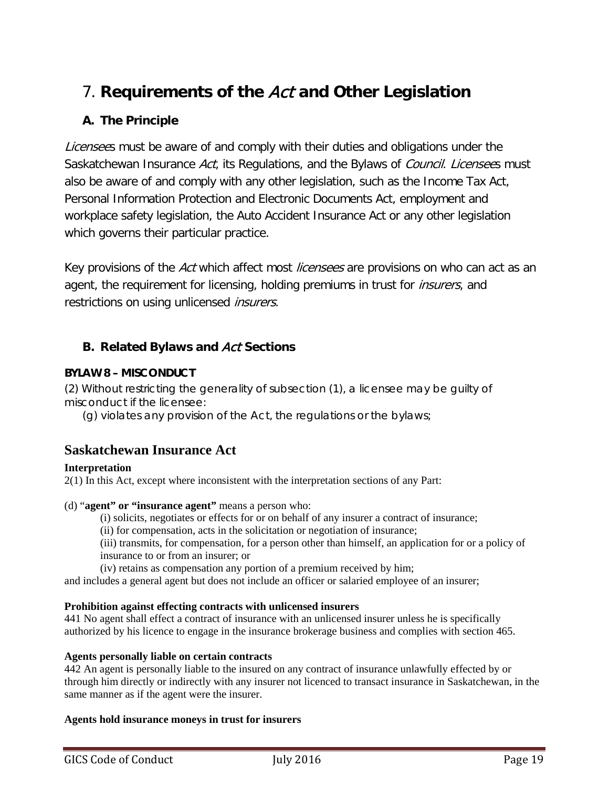# <span id="page-18-0"></span>7. **Requirements of the** Act **and Other Legislation**

## **A. The Principle**

Licensees must be aware of and comply with their duties and obligations under the Saskatchewan Insurance Act, its Regulations, and the Bylaws of Council. Licensees must also be aware of and comply with any other legislation, such as the Income Tax Act, Personal Information Protection and Electronic Documents Act, employment and workplace safety legislation, the Auto Accident Insurance Act or any other legislation which governs their particular practice.

Key provisions of the Act which affect most *licensees* are provisions on who can act as an agent, the requirement for licensing, holding premiums in trust for *insurers*, and restrictions on using unlicensed *insurers*.

### **B. Related Bylaws and** Act **Sections**

#### **BYLAW 8 – MISCONDUCT**

(2) Without restricting the generality of subsection (1), a licensee may be guilty of misconduct if the licensee:

(g) violates any provision of the Act, the regulations or the bylaws;

## **Saskatchewan Insurance Act**

#### **Interpretation**

2(1) In this Act, except where inconsistent with the interpretation sections of any Part:

#### (d) "**agent" or "insurance agent"** means a person who:

(i) solicits, negotiates or effects for or on behalf of any insurer a contract of insurance;

(ii) for compensation, acts in the solicitation or negotiation of insurance;

(iii) transmits, for compensation, for a person other than himself, an application for or a policy of insurance to or from an insurer; or

(iv) retains as compensation any portion of a premium received by him;

and includes a general agent but does not include an officer or salaried employee of an insurer;

#### **Prohibition against effecting contracts with unlicensed insurers**

441 No agent shall effect a contract of insurance with an unlicensed insurer unless he is specifically authorized by his licence to engage in the insurance brokerage business and complies with section 465.

#### **Agents personally liable on certain contracts**

442 An agent is personally liable to the insured on any contract of insurance unlawfully effected by or through him directly or indirectly with any insurer not licenced to transact insurance in Saskatchewan, in the same manner as if the agent were the insurer.

#### **Agents hold insurance moneys in trust for insurers**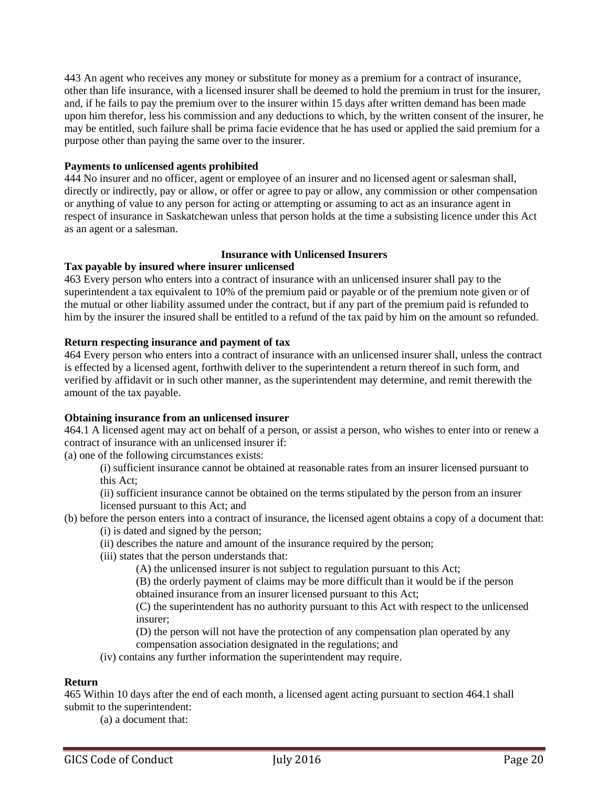443 An agent who receives any money or substitute for money as a premium for a contract of insurance, other than life insurance, with a licensed insurer shall be deemed to hold the premium in trust for the insurer, and, if he fails to pay the premium over to the insurer within 15 days after written demand has been made upon him therefor, less his commission and any deductions to which, by the written consent of the insurer, he may be entitled, such failure shall be prima facie evidence that he has used or applied the said premium for a purpose other than paying the same over to the insurer.

#### **Payments to unlicensed agents prohibited**

444 No insurer and no officer, agent or employee of an insurer and no licensed agent or salesman shall, directly or indirectly, pay or allow, or offer or agree to pay or allow, any commission or other compensation or anything of value to any person for acting or attempting or assuming to act as an insurance agent in respect of insurance in Saskatchewan unless that person holds at the time a subsisting licence under this Act as an agent or a salesman.

#### **Insurance with Unlicensed Insurers**

#### **Tax payable by insured where insurer unlicensed**

463 Every person who enters into a contract of insurance with an unlicensed insurer shall pay to the superintendent a tax equivalent to 10% of the premium paid or payable or of the premium note given or of the mutual or other liability assumed under the contract, but if any part of the premium paid is refunded to him by the insurer the insured shall be entitled to a refund of the tax paid by him on the amount so refunded.

#### **Return respecting insurance and payment of tax**

464 Every person who enters into a contract of insurance with an unlicensed insurer shall, unless the contract is effected by a licensed agent, forthwith deliver to the superintendent a return thereof in such form, and verified by affidavit or in such other manner, as the superintendent may determine, and remit therewith the amount of the tax payable.

#### **Obtaining insurance from an unlicensed insurer**

464.1 A licensed agent may act on behalf of a person, or assist a person, who wishes to enter into or renew a contract of insurance with an unlicensed insurer if:

(a) one of the following circumstances exists:

(i) sufficient insurance cannot be obtained at reasonable rates from an insurer licensed pursuant to this Act;

(ii) sufficient insurance cannot be obtained on the terms stipulated by the person from an insurer licensed pursuant to this Act; and

(b) before the person enters into a contract of insurance, the licensed agent obtains a copy of a document that: (i) is dated and signed by the person;

(ii) describes the nature and amount of the insurance required by the person;

(iii) states that the person understands that:

(A) the unlicensed insurer is not subject to regulation pursuant to this Act;

(B) the orderly payment of claims may be more difficult than it would be if the person obtained insurance from an insurer licensed pursuant to this Act;

(C) the superintendent has no authority pursuant to this Act with respect to the unlicensed insurer;

(D) the person will not have the protection of any compensation plan operated by any compensation association designated in the regulations; and

(iv) contains any further information the superintendent may require.

#### **Return**

465 Within 10 days after the end of each month, a licensed agent acting pursuant to section 464.1 shall submit to the superintendent:

(a) a document that: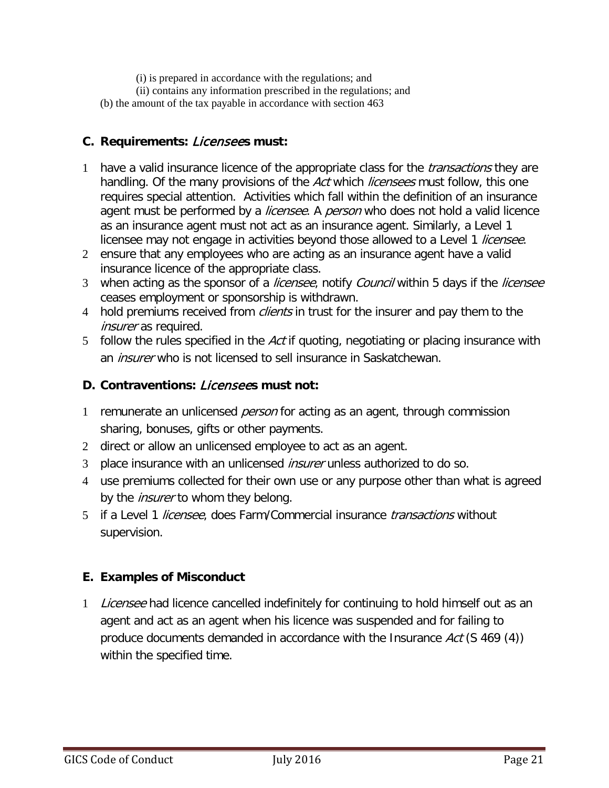(i) is prepared in accordance with the regulations; and

(ii) contains any information prescribed in the regulations; and

(b) the amount of the tax payable in accordance with section 463

### **C. Requirements:** Licensee**s must:**

- 1 have a valid insurance licence of the appropriate class for the *transactions* they are handling. Of the many provisions of the Act which licensees must follow, this one requires special attention. Activities which fall within the definition of an insurance agent must be performed by a *licensee*. A *person* who does not hold a valid licence as an insurance agent must not act as an insurance agent. Similarly, a Level 1 licensee may not engage in activities beyond those allowed to a Level 1 licensee.
- 2 ensure that any employees who are acting as an insurance agent have a valid insurance licence of the appropriate class.
- 3 when acting as the sponsor of a *licensee*, notify *Council* within 5 days if the *licensee* ceases employment or sponsorship is withdrawn.
- 4 hold premiums received from *clients* in trust for the insurer and pay them to the insurer as required.
- 5 follow the rules specified in the Act if quoting, negotiating or placing insurance with an insurer who is not licensed to sell insurance in Saskatchewan.

### **D. Contraventions:** Licensee**s must not:**

- 1 remunerate an unlicensed *person* for acting as an agent, through commission sharing, bonuses, gifts or other payments.
- 2 direct or allow an unlicensed employee to act as an agent.
- 3 place insurance with an unlicensed *insurer* unless authorized to do so.
- 4 use premiums collected for their own use or any purpose other than what is agreed by the *insurer* to whom they belong.
- 5 if a Level 1 *licensee*, does Farm/Commercial insurance *transactions* without supervision.

## **E. Examples of Misconduct**

1 Licensee had licence cancelled indefinitely for continuing to hold himself out as an agent and act as an agent when his licence was suspended and for failing to produce documents demanded in accordance with the Insurance Act (S 469 (4)) within the specified time.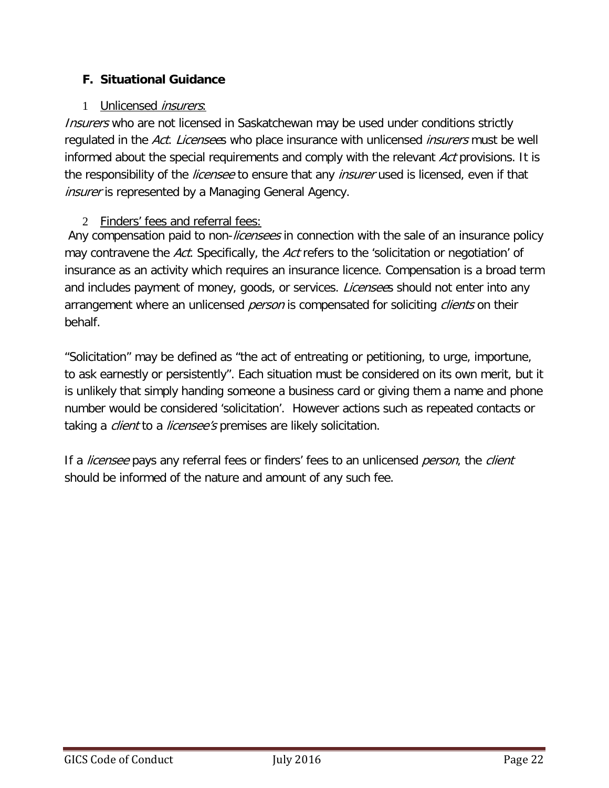## <span id="page-21-0"></span>**F. Situational Guidance**

## 1 Unlicensed *insurers*:

<span id="page-21-1"></span>Insurers who are not licensed in Saskatchewan may be used under conditions strictly regulated in the Act. Licensees who place insurance with unlicensed *insurers* must be well informed about the special requirements and comply with the relevant Act provisions. It is the responsibility of the *licensee* to ensure that any *insurer* used is licensed, even if that *insurer* is represented by a Managing General Agency.

## <span id="page-21-2"></span>2 Finders' fees and referral fees:

Any compensation paid to non-*licensees* in connection with the sale of an insurance policy may contravene the Act. Specifically, the Act refers to the 'solicitation or negotiation' of insurance as an activity which requires an insurance licence. Compensation is a broad term and includes payment of money, goods, or services. *Licensee*s should not enter into any arrangement where an unlicensed *person* is compensated for soliciting *clients* on their behalf.

"Solicitation" may be defined as "the act of entreating or petitioning, to urge, importune, to ask earnestly or persistently". Each situation must be considered on its own merit, but it is unlikely that simply handing someone a business card or giving them a name and phone number would be considered 'solicitation'. However actions such as repeated contacts or taking a *client* to a *licensee's* premises are likely solicitation.

If a *licensee* pays any referral fees or finders' fees to an unlicensed *person*, the client should be informed of the nature and amount of any such fee.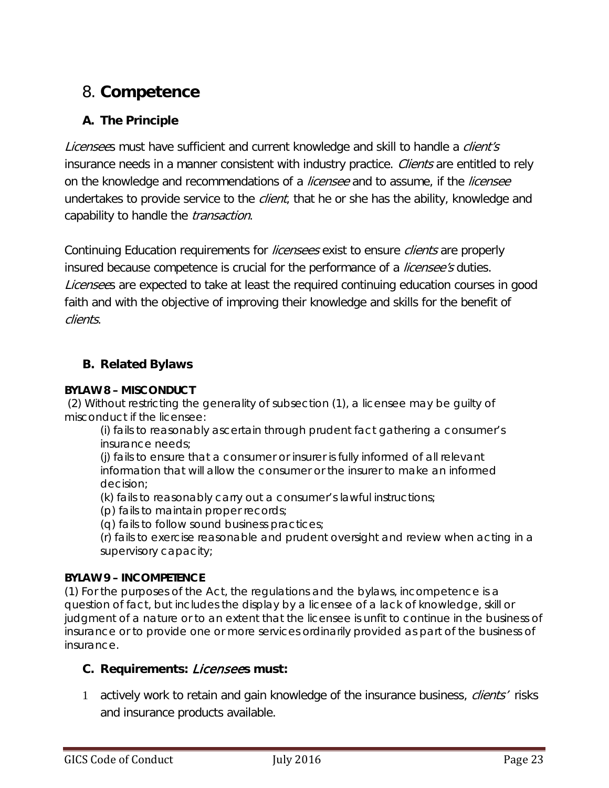## <span id="page-22-0"></span>8. **Competence**

## **A. The Principle**

Licensees must have sufficient and current knowledge and skill to handle a client's insurance needs in a manner consistent with industry practice. Clients are entitled to rely on the knowledge and recommendations of a *licensee* and to assume, if the *licensee* undertakes to provide service to the *client*, that he or she has the ability, knowledge and capability to handle the *transaction*.

Continuing Education requirements for *licensees* exist to ensure *clients* are properly insured because competence is crucial for the performance of a *licensee's* duties. Licensees are expected to take at least the required continuing education courses in good faith and with the objective of improving their knowledge and skills for the benefit of clients.

## **B. Related Bylaws**

#### **BYLAW 8 – MISCONDUCT**

(2) Without restricting the generality of subsection (1), a licensee may be guilty of misconduct if the licensee:

(i) fails to reasonably ascertain through prudent fact gathering a consumer's insurance needs;

(j) fails to ensure that a consumer or insurer is fully informed of all relevant information that will allow the consumer or the insurer to make an informed decision;

(k) fails to reasonably carry out a consumer's lawful instructions;

(p) fails to maintain proper records;

(q) fails to follow sound business practices;

(r) fails to exercise reasonable and prudent oversight and review when acting in a supervisory capacity;

#### **BYLAW 9 – INCOMPETENCE**

(1) For the purposes of the Act, the regulations and the bylaws, incompetence is a question of fact, but includes the display by a licensee of a lack of knowledge, skill or judgment of a nature or to an extent that the licensee is unfit to continue in the business of insurance or to provide one or more services ordinarily provided as part of the business of insurance.

## **C. Requirements:** Licensee**s must:**

1 actively work to retain and gain knowledge of the insurance business, *clients'* risks and insurance products available.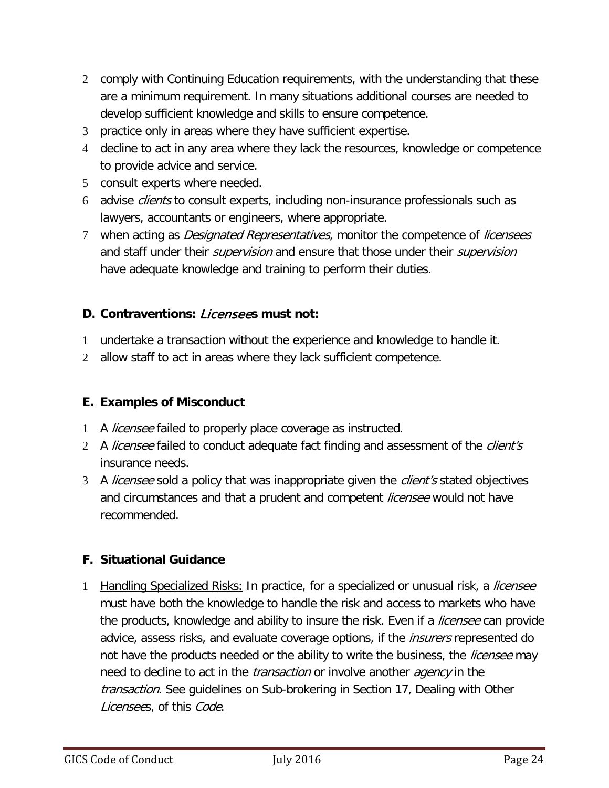- 2 comply with Continuing Education requirements, with the understanding that these are a minimum requirement. In many situations additional courses are needed to develop sufficient knowledge and skills to ensure competence.
- 3 practice only in areas where they have sufficient expertise.
- 4 decline to act in any area where they lack the resources, knowledge or competence to provide advice and service.
- 5 consult experts where needed.
- 6 advise clients to consult experts, including non-insurance professionals such as lawyers, accountants or engineers, where appropriate.
- 7 when acting as *Designated Representatives*, monitor the competence of *licensees* and staff under their *supervision* and ensure that those under their *supervision* have adequate knowledge and training to perform their duties.

### **D. Contraventions:** Licensee**s must not:**

- 1 undertake a transaction without the experience and knowledge to handle it.
- 2 allow staff to act in areas where they lack sufficient competence.

#### **E. Examples of Misconduct**

- 1 A *licensee* failed to properly place coverage as instructed.
- 2 A licensee failed to conduct adequate fact finding and assessment of the client's insurance needs.
- 3 A licensee sold a policy that was inappropriate given the client's stated objectives and circumstances and that a prudent and competent *licensee* would not have recommended.

#### <span id="page-23-0"></span>**F. Situational Guidance**

<span id="page-23-1"></span>1 Handling Specialized Risks: In practice, for a specialized or unusual risk, a *licensee* must have both the knowledge to handle the risk and access to markets who have the products, knowledge and ability to insure the risk. Even if a *licensee* can provide advice, assess risks, and evaluate coverage options, if the *insurers* represented do not have the products needed or the ability to write the business, the *licensee* may need to decline to act in the *transaction* or involve another *agency* in the transaction. See guidelines on Sub-brokering in Section 17, Dealing with Other Licensees, of this Code.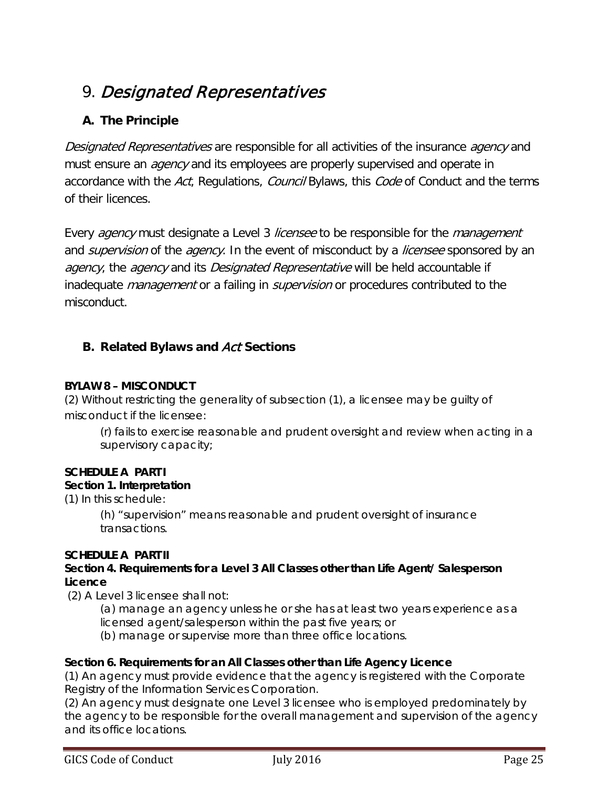# <span id="page-24-0"></span>9. Designated Representatives

## **A. The Principle**

Designated Representatives are responsible for all activities of the insurance agency and must ensure an *agency* and its employees are properly supervised and operate in accordance with the Act, Regulations, Council Bylaws, this Code of Conduct and the terms of their licences.

Every *agency* must designate a Level 3 licensee to be responsible for the *management* and *supervision* of the *agency*. In the event of misconduct by a *licensee* sponsored by an agency, the agency and its Designated Representative will be held accountable if inadequate *management* or a failing in supervision or procedures contributed to the misconduct.

## **B. Related Bylaws and** Act **Sections**

#### **BYLAW 8 – MISCONDUCT**

(2) Without restricting the generality of subsection (1), a licensee may be guilty of misconduct if the licensee:

(r) fails to exercise reasonable and prudent oversight and review when acting in a supervisory capacity;

#### **SCHEDULE A PART I Section 1. Interpretation**

(1) In this schedule:

(h) "supervision" means reasonable and prudent oversight of insurance transactions.

#### **SCHEDULE A PART II**

#### **Section 4. Requirements for a Level 3 All Classes other than Life Agent/ Salesperson Licence**

(2) A Level 3 licensee shall not:

(a) manage an agency unless he or she has at least two years experience as a licensed agent/salesperson within the past five years; or

(b) manage or supervise more than three office locations.

#### **Section 6. Requirements for an All Classes other than Life Agency Licence**

(1) An agency must provide evidence that the agency is registered with the Corporate Registry of the Information Services Corporation.

(2) An agency must designate one Level 3 licensee who is employed predominately by the agency to be responsible for the overall management and supervision of the agency and its office locations.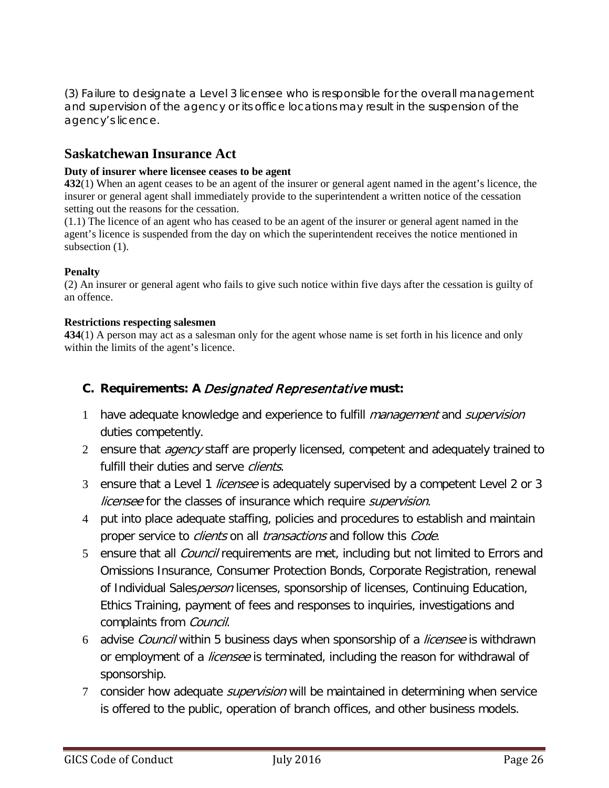(3) Failure to designate a Level 3 licensee who is responsible for the overall management and supervision of the agency or its office locations may result in the suspension of the agency's licence.

#### **Saskatchewan Insurance Act**

#### **Duty of insurer where licensee ceases to be agent**

**432**(1) When an agent ceases to be an agent of the insurer or general agent named in the agent's licence, the insurer or general agent shall immediately provide to the superintendent a written notice of the cessation setting out the reasons for the cessation.

(1.1) The licence of an agent who has ceased to be an agent of the insurer or general agent named in the agent's licence is suspended from the day on which the superintendent receives the notice mentioned in subsection  $(1)$ .

#### **Penalty**

(2) An insurer or general agent who fails to give such notice within five days after the cessation is guilty of an offence.

#### **Restrictions respecting salesmen**

**434**(1) A person may act as a salesman only for the agent whose name is set forth in his licence and only within the limits of the agent's licence.

#### **C. Requirements: A** Designated Representative **must:**

- 1 have adequate knowledge and experience to fulfill *management* and *supervision* duties competently.
- 2 ensure that *agency* staff are properly licensed, competent and adequately trained to fulfill their duties and serve *clients*.
- 3 ensure that a Level 1 *licensee* is adequately supervised by a competent Level 2 or 3 licensee for the classes of insurance which require *supervision*.
- 4 put into place adequate staffing, policies and procedures to establish and maintain proper service to *clients* on all *transactions* and follow this *Code*.
- 5 ensure that all *Council* requirements are met, including but not limited to Errors and Omissions Insurance, Consumer Protection Bonds, Corporate Registration, renewal of Individual Sales*person* licenses, sponsorship of licenses, Continuing Education, Ethics Training, payment of fees and responses to inquiries, investigations and complaints from Council.
- 6 advise Council within 5 business days when sponsorship of a licensee is withdrawn or employment of a *licensee* is terminated, including the reason for withdrawal of sponsorship.
- 7 consider how adequate *supervision* will be maintained in determining when service is offered to the public, operation of branch offices, and other business models.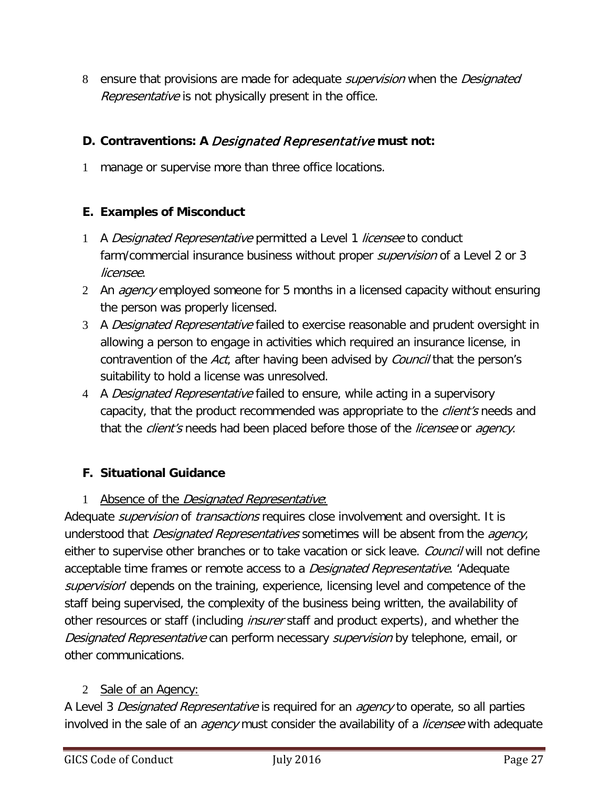8 ensure that provisions are made for adequate *supervision* when the *Designated* Representative is not physically present in the office.

## **D. Contraventions: A** Designated Representative **must not:**

1 manage or supervise more than three office locations.

## **E. Examples of Misconduct**

- 1 A Designated Representative permitted a Level 1 licensee to conduct farm/commercial insurance business without proper *supervision* of a Level 2 or 3 licensee.
- 2 An *agency* employed someone for 5 months in a licensed capacity without ensuring the person was properly licensed.
- 3 A Designated Representative failed to exercise reasonable and prudent oversight in allowing a person to engage in activities which required an insurance license, in contravention of the Act, after having been advised by Council that the person's suitability to hold a license was unresolved.
- 4 A *Designated Representative* failed to ensure, while acting in a supervisory capacity, that the product recommended was appropriate to the *client's* needs and that the *client's* needs had been placed before those of the *licensee* or *agency*.

## <span id="page-26-0"></span>**F. Situational Guidance**

## 1 Absence of the Designated Representative:

<span id="page-26-1"></span>Adequate *supervision* of *transactions* requires close involvement and oversight. It is understood that *Designated Representatives* sometimes will be absent from the agency, either to supervise other branches or to take vacation or sick leave. Council will not define acceptable time frames or remote access to a *Designated Representative*. 'Adequate supervision' depends on the training, experience, licensing level and competence of the staff being supervised, the complexity of the business being written, the availability of other resources or staff (including *insurer* staff and product experts), and whether the Designated Representative can perform necessary *supervision* by telephone, email, or other communications.

## 2 Sale of an Agency:

<span id="page-26-2"></span>A Level 3 Designated Representative is required for an agency to operate, so all parties involved in the sale of an *agency* must consider the availability of a *licensee* with adequate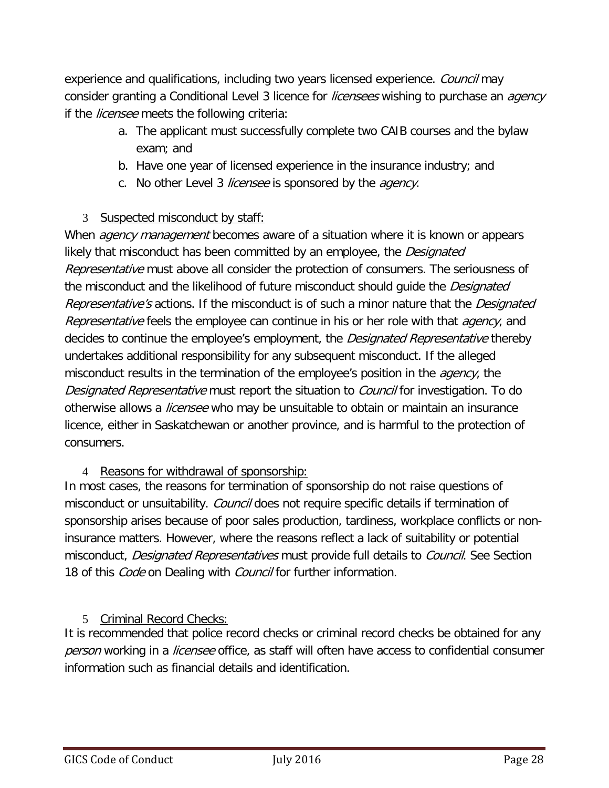experience and qualifications, including two years licensed experience. Council may consider granting a Conditional Level 3 licence for *licensees* wishing to purchase an *agency* if the *licensee* meets the following criteria:

- a. The applicant must successfully complete two CAIB courses and the bylaw exam; and
- b. Have one year of licensed experience in the insurance industry; and
- c. No other Level 3 licensee is sponsored by the *agency*.

## 3 Suspected misconduct by staff:

<span id="page-27-0"></span>When *agency management* becomes aware of a situation where it is known or appears likely that misconduct has been committed by an employee, the Designated Representative must above all consider the protection of consumers. The seriousness of the misconduct and the likelihood of future misconduct should guide the *Designated* Representative's actions. If the misconduct is of such a minor nature that the Designated Representative feels the employee can continue in his or her role with that agency, and decides to continue the employee's employment, the *Designated Representative* thereby undertakes additional responsibility for any subsequent misconduct. If the alleged misconduct results in the termination of the employee's position in the *agency*, the Designated Representative must report the situation to Council for investigation. To do otherwise allows a *licensee* who may be unsuitable to obtain or maintain an insurance licence, either in Saskatchewan or another province, and is harmful to the protection of consumers.

## <span id="page-27-1"></span>4 Reasons for withdrawal of sponsorship:

In most cases, the reasons for termination of sponsorship do not raise questions of misconduct or unsuitability. *Council* does not require specific details if termination of sponsorship arises because of poor sales production, tardiness, workplace conflicts or noninsurance matters. However, where the reasons reflect a lack of suitability or potential misconduct, *Designated Representatives* must provide full details to *Council*. See Section 18 of this *Code* on Dealing with *Council* for further information.

## <span id="page-27-2"></span>5 Criminal Record Checks:

It is recommended that police record checks or criminal record checks be obtained for any person working in a licensee office, as staff will often have access to confidential consumer information such as financial details and identification.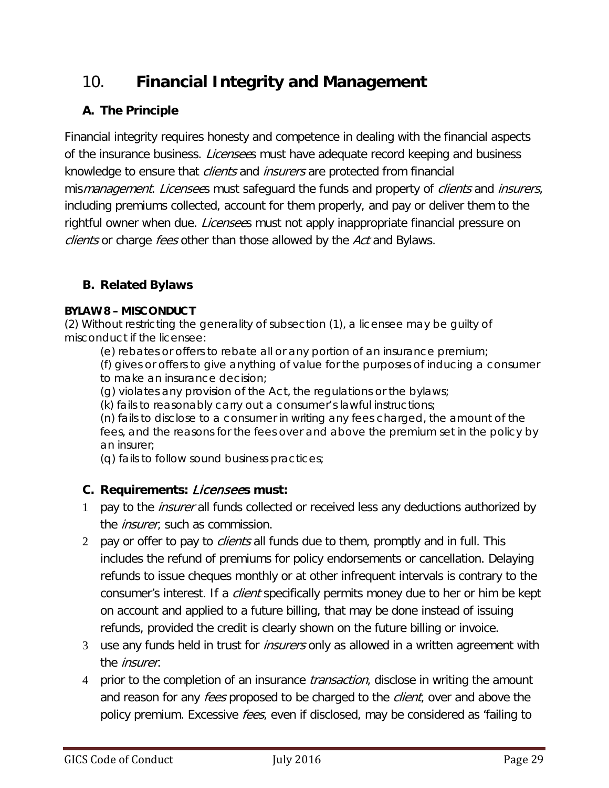# <span id="page-28-0"></span>10. **Financial Integrity and Management**

## **A. The Principle**

Financial integrity requires honesty and competence in dealing with the financial aspects of the insurance business. *Licensee*s must have adequate record keeping and business knowledge to ensure that *clients* and *insurers* are protected from financial mismanagement. Licensees must safequard the funds and property of clients and insurers, including premiums collected, account for them properly, and pay or deliver them to the rightful owner when due. *Licensee*s must not apply inappropriate financial pressure on clients or charge fees other than those allowed by the Act and Bylaws.

## **B. Related Bylaws**

#### **BYLAW 8 – MISCONDUCT**

(2) Without restricting the generality of subsection (1), a licensee may be guilty of misconduct if the licensee:

(e) rebates or offers to rebate all or any portion of an insurance premium;

(f) gives or offers to give anything of value for the purposes of inducing a consumer to make an insurance decision;

(g) violates any provision of the Act, the regulations or the bylaws;

(k) fails to reasonably carry out a consumer's lawful instructions;

(n) fails to disclose to a consumer in writing any fees charged, the amount of the fees, and the reasons for the fees over and above the premium set in the policy by an insurer;

(q) fails to follow sound business practices;

## **C. Requirements:** Licensee**s must:**

- 1 pay to the *insurer* all funds collected or received less any deductions authorized by the *insurer*, such as commission.
- 2 pay or offer to pay to *clients* all funds due to them, promptly and in full. This includes the refund of premiums for policy endorsements or cancellation. Delaying refunds to issue cheques monthly or at other infrequent intervals is contrary to the consumer's interest. If a *client* specifically permits money due to her or him be kept on account and applied to a future billing, that may be done instead of issuing refunds, provided the credit is clearly shown on the future billing or invoice.
- 3 use any funds held in trust for *insurers* only as allowed in a written agreement with the insurer.
- 4 prior to the completion of an insurance *transaction*, disclose in writing the amount and reason for any *fees* proposed to be charged to the *client*, over and above the policy premium. Excessive fees, even if disclosed, may be considered as 'failing to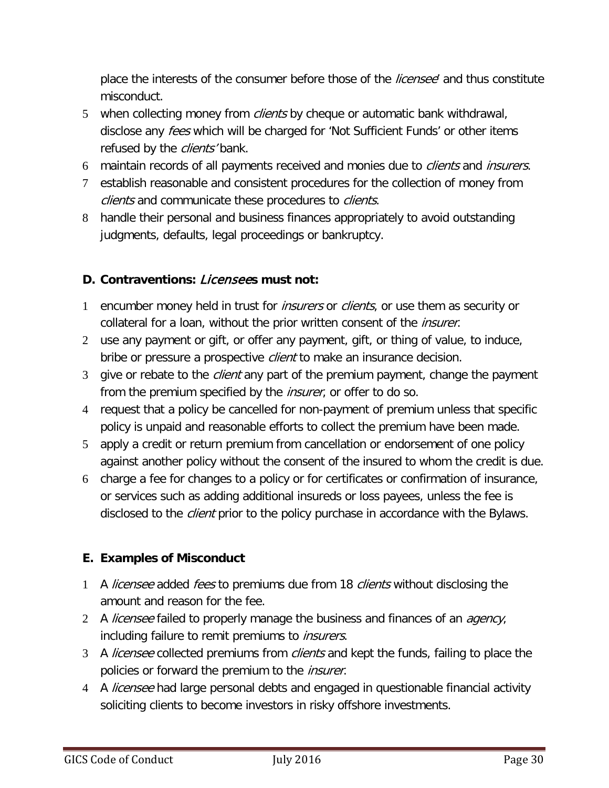place the interests of the consumer before those of the *licensee* and thus constitute misconduct.

- 5 when collecting money from *clients* by cheque or automatic bank withdrawal, disclose any *fees* which will be charged for 'Not Sufficient Funds' or other items refused by the *clients'* bank.
- 6 maintain records of all payments received and monies due to *clients* and *insurers*.
- 7 establish reasonable and consistent procedures for the collection of money from clients and communicate these procedures to clients.
- 8 handle their personal and business finances appropriately to avoid outstanding judgments, defaults, legal proceedings or bankruptcy.

## **D. Contraventions:** Licensee**s must not:**

- 1 encumber money held in trust for *insurers* or *clients*, or use them as security or collateral for a loan, without the prior written consent of the *insurer*.
- 2 use any payment or gift, or offer any payment, gift, or thing of value, to induce, bribe or pressure a prospective *client* to make an insurance decision.
- 3 give or rebate to the *client* any part of the premium payment, change the payment from the premium specified by the *insurer*, or offer to do so.
- 4 request that a policy be cancelled for non-payment of premium unless that specific policy is unpaid and reasonable efforts to collect the premium have been made.
- 5 apply a credit or return premium from cancellation or endorsement of one policy against another policy without the consent of the insured to whom the credit is due.
- 6 charge a fee for changes to a policy or for certificates or confirmation of insurance, or services such as adding additional insureds or loss payees, unless the fee is disclosed to the *client* prior to the policy purchase in accordance with the Bylaws.

## **E. Examples of Misconduct**

- 1 A licensee added fees to premiums due from 18 clients without disclosing the amount and reason for the fee.
- 2 A licensee failed to properly manage the business and finances of an *agency*, including failure to remit premiums to *insurers*.
- 3 A licensee collected premiums from clients and kept the funds, failing to place the policies or forward the premium to the insurer.
- 4 A *licensee* had large personal debts and engaged in questionable financial activity soliciting clients to become investors in risky offshore investments.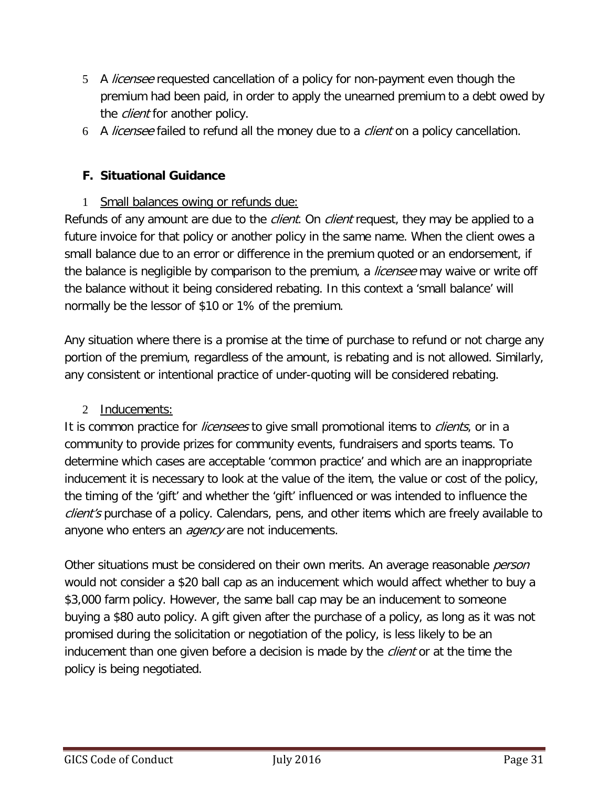- 5 A licensee requested cancellation of a policy for non-payment even though the premium had been paid, in order to apply the unearned premium to a debt owed by the *client* for another policy.
- 6 A licensee failed to refund all the money due to a client on a policy cancellation.

### <span id="page-30-0"></span>**F. Situational Guidance**

### 1 Small balances owing or refunds due:

<span id="page-30-1"></span>Refunds of any amount are due to the *client*. On *client* request, they may be applied to a future invoice for that policy or another policy in the same name. When the client owes a small balance due to an error or difference in the premium quoted or an endorsement, if the balance is negligible by comparison to the premium, a *licensee* may waive or write off the balance without it being considered rebating. In this context a 'small balance' will normally be the lessor of \$10 or 1% of the premium.

Any situation where there is a promise at the time of purchase to refund or not charge any portion of the premium, regardless of the amount, is rebating and is not allowed. Similarly, any consistent or intentional practice of under-quoting will be considered rebating.

#### <span id="page-30-2"></span>2 Inducements:

It is common practice for *licensees* to give small promotional items to *clients*, or in a community to provide prizes for community events, fundraisers and sports teams. To determine which cases are acceptable 'common practice' and which are an inappropriate inducement it is necessary to look at the value of the item, the value or cost of the policy, the timing of the 'gift' and whether the 'gift' influenced or was intended to influence the client's purchase of a policy. Calendars, pens, and other items which are freely available to anyone who enters an *agency* are not inducements.

Other situations must be considered on their own merits. An average reasonable *person* would not consider a \$20 ball cap as an inducement which would affect whether to buy a \$3,000 farm policy. However, the same ball cap may be an inducement to someone buying a \$80 auto policy. A gift given after the purchase of a policy, as long as it was not promised during the solicitation or negotiation of the policy, is less likely to be an inducement than one given before a decision is made by the *client* or at the time the policy is being negotiated.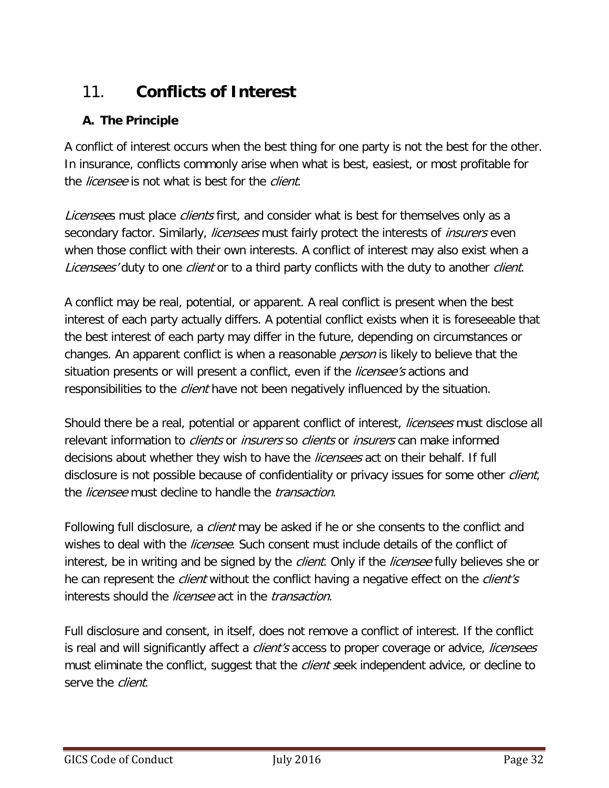# <span id="page-31-0"></span>11. **Conflicts of Interest**

## **A. The Principle**

A conflict of interest occurs when the best thing for one party is not the best for the other. In insurance, conflicts commonly arise when what is best, easiest, or most profitable for the *licensee* is not what is best for the *client*.

Licensees must place clients first, and consider what is best for themselves only as a secondary factor. Similarly, *licensees* must fairly protect the interests of *insurers* even when those conflict with their own interests. A conflict of interest may also exist when a Licensees' duty to one client or to a third party conflicts with the duty to another client.

A conflict may be real, potential, or apparent. A real conflict is present when the best interest of each party actually differs. A potential conflict exists when it is foreseeable that the best interest of each party may differ in the future, depending on circumstances or changes. An apparent conflict is when a reasonable *person* is likely to believe that the situation presents or will present a conflict, even if the *licensee's* actions and responsibilities to the *client* have not been negatively influenced by the situation.

Should there be a real, potential or apparent conflict of interest, *licensees* must disclose all relevant information to *clients* or *insurers* so *clients* or *insurers* can make informed decisions about whether they wish to have the *licensees* act on their behalf. If full disclosure is not possible because of confidentiality or privacy issues for some other *client*, the *licensee* must decline to handle the *transaction*.

Following full disclosure, a *client* may be asked if he or she consents to the conflict and wishes to deal with the *licensee*. Such consent must include details of the conflict of interest, be in writing and be signed by the *client*. Only if the *licensee* fully believes she or he can represent the *client* without the conflict having a negative effect on the *client's* interests should the *licensee* act in the *transaction*.

Full disclosure and consent, in itself, does not remove a conflict of interest. If the conflict is real and will significantly affect a *client's* access to proper coverage or advice, *licensees* must eliminate the conflict, suggest that the *client s*eek independent advice, or decline to serve the *client*.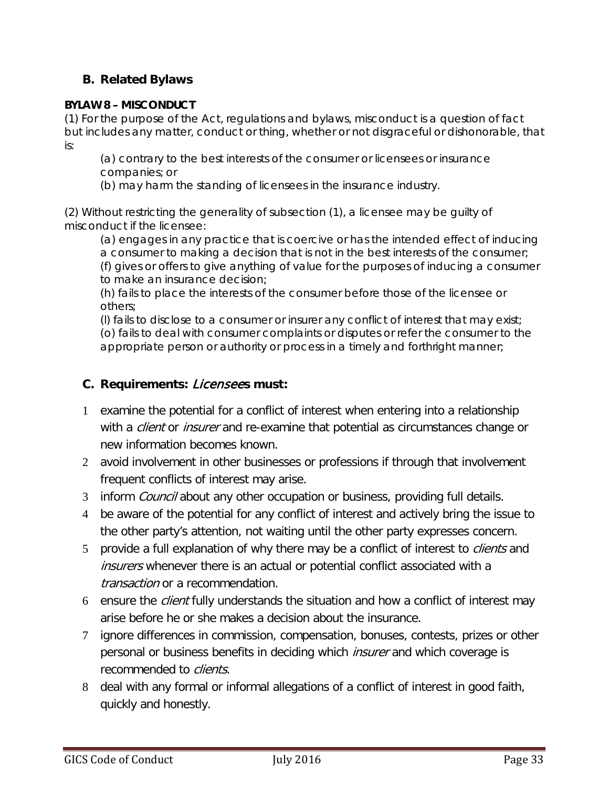## **B. Related Bylaws**

#### **BYLAW 8 – MISCONDUCT**

(1) For the purpose of the Act, regulations and bylaws, misconduct is a question of fact but includes any matter, conduct or thing, whether or not disgraceful or dishonorable, that is:

(a) contrary to the best interests of the consumer or licensees or insurance companies; or

(b) may harm the standing of licensees in the insurance industry.

(2) Without restricting the generality of subsection (1), a licensee may be guilty of misconduct if the licensee:

(a) engages in any practice that is coercive or has the intended effect of inducing a consumer to making a decision that is not in the best interests of the consumer; (f) gives or offers to give anything of value for the purposes of inducing a consumer to make an insurance decision;

(h) fails to place the interests of the consumer before those of the licensee or others;

(l) fails to disclose to a consumer or insurer any conflict of interest that may exist; (o) fails to deal with consumer complaints or disputes or refer the consumer to the appropriate person or authority or process in a timely and forthright manner;

### **C. Requirements:** Licensee**s must:**

- 1 examine the potential for a conflict of interest when entering into a relationship with a *client* or *insurer* and re-examine that potential as circumstances change or new information becomes known.
- 2 avoid involvement in other businesses or professions if through that involvement frequent conflicts of interest may arise.
- 3 inform *Council* about any other occupation or business, providing full details.
- 4 be aware of the potential for any conflict of interest and actively bring the issue to the other party's attention, not waiting until the other party expresses concern.
- 5 provide a full explanation of why there may be a conflict of interest to *clients* and insurers whenever there is an actual or potential conflict associated with a transaction or a recommendation.
- 6 ensure the client fully understands the situation and how a conflict of interest may arise before he or she makes a decision about the insurance.
- 7 ignore differences in commission, compensation, bonuses, contests, prizes or other personal or business benefits in deciding which *insurer* and which coverage is recommended to *clients*.
- 8 deal with any formal or informal allegations of a conflict of interest in good faith, quickly and honestly.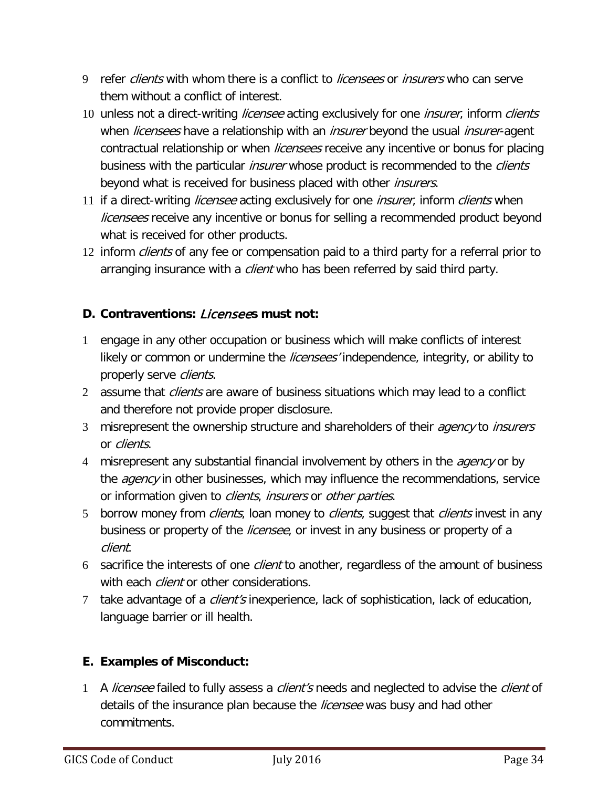- 9 refer *clients* with whom there is a conflict to *licensees* or *insurers* who can serve them without a conflict of interest.
- 10 unless not a direct-writing *licensee* acting exclusively for one *insurer*, inform *clients* when *licensees* have a relationship with an *insurer* beyond the usual *insurer*-agent contractual relationship or when *licensees* receive any incentive or bonus for placing business with the particular *insurer* whose product is recommended to the *clients* beyond what is received for business placed with other *insurers*.
- 11 if a direct-writing *licensee* acting exclusively for one *insurer*, inform *clients* when *licensees* receive any incentive or bonus for selling a recommended product beyond what is received for other products.
- 12 inform *clients* of any fee or compensation paid to a third party for a referral prior to arranging insurance with a *client* who has been referred by said third party.

## **D. Contraventions:** Licensee**s must not:**

- 1 engage in any other occupation or business which will make conflicts of interest likely or common or undermine the *licensees'* independence, integrity, or ability to properly serve *clients*.
- 2 assume that *clients* are aware of business situations which may lead to a conflict and therefore not provide proper disclosure.
- 3 misrepresent the ownership structure and shareholders of their *agency* to *insurers* or clients.
- 4 misrepresent any substantial financial involvement by others in the *agency* or by the *agency* in other businesses, which may influence the recommendations, service or information given to *clients, insurers* or *other parties.*
- 5 borrow money from *clients*, loan money to *clients*, suggest that *clients* invest in any business or property of the *licensee*, or invest in any business or property of a client.
- 6 sacrifice the interests of one *client* to another, regardless of the amount of business with each *client* or other considerations.
- 7 take advantage of a *client's* inexperience, lack of sophistication, lack of education, language barrier or ill health.

## **E. Examples of Misconduct:**

1 A licensee failed to fully assess a client's needs and neglected to advise the client of details of the insurance plan because the *licensee* was busy and had other commitments.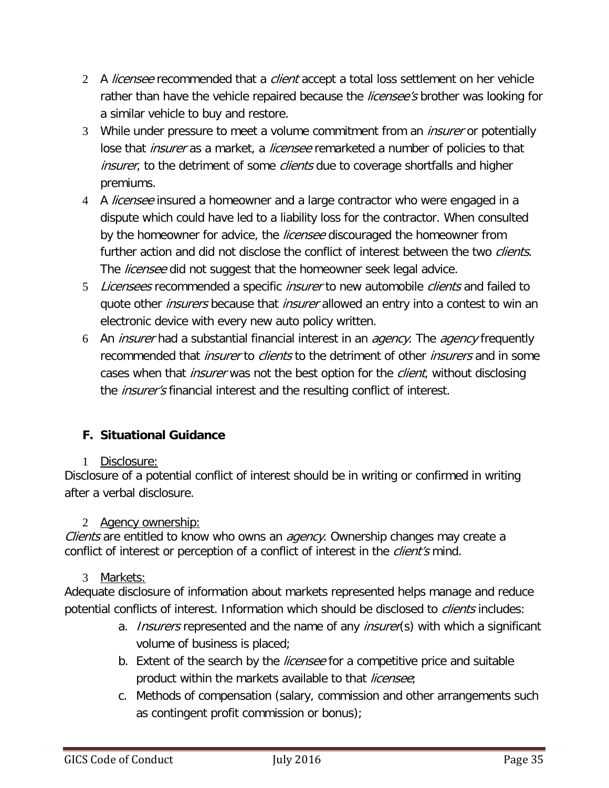- 2 A licensee recommended that a client accept a total loss settlement on her vehicle rather than have the vehicle repaired because the *licensee's* brother was looking for a similar vehicle to buy and restore.
- 3 While under pressure to meet a volume commitment from an *insurer* or potentially lose that *insurer* as a market, a *licensee* remarketed a number of policies to that *insurer*, to the detriment of some *clients* due to coverage shortfalls and higher premiums.
- 4 A *licensee* insured a homeowner and a large contractor who were engaged in a dispute which could have led to a liability loss for the contractor. When consulted by the homeowner for advice, the *licensee* discouraged the homeowner from further action and did not disclose the conflict of interest between the two *clients*. The *licensee* did not suggest that the homeowner seek legal advice.
- 5 Licensees recommended a specific insurer to new automobile clients and failed to quote other *insurers* because that *insurer* allowed an entry into a contest to win an electronic device with every new auto policy written.
- 6 An *insurer* had a substantial financial interest in an *agency*. The *agency* frequently recommended that *insurer* to *clients* to the detriment of other *insurers* and in some cases when that *insurer* was not the best option for the *client*, without disclosing the *insurer's* financial interest and the resulting conflict of interest.

## <span id="page-34-0"></span>**F. Situational Guidance**

## <span id="page-34-1"></span>1 Disclosure:

Disclosure of a potential conflict of interest should be in writing or confirmed in writing after a verbal disclosure.

## <span id="page-34-2"></span>2 Agency ownership:

Clients are entitled to know who owns an *agency*. Ownership changes may create a conflict of interest or perception of a conflict of interest in the *client's* mind.

## <span id="page-34-3"></span>3 Markets:

Adequate disclosure of information about markets represented helps manage and reduce potential conflicts of interest. Information which should be disclosed to *clients* includes:

- a. *Insurers* represented and the name of any *insurer*(s) with which a significant volume of business is placed;
- b. Extent of the search by the *licensee* for a competitive price and suitable product within the markets available to that *licensee*;
- c. Methods of compensation (salary, commission and other arrangements such as contingent profit commission or bonus);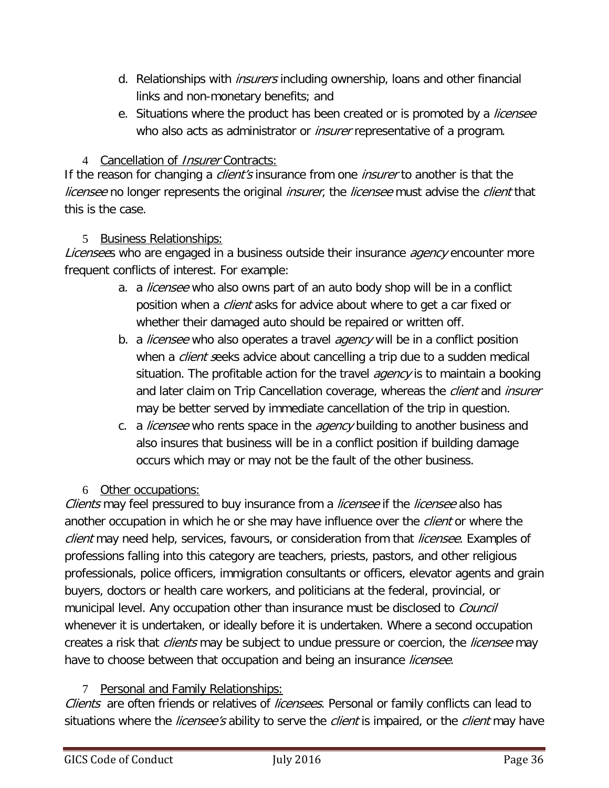- d. Relationships with *insurers* including ownership, loans and other financial links and non-monetary benefits; and
- e. Situations where the product has been created or is promoted by a *licensee* who also acts as administrator or *insurer* representative of a program.

### <span id="page-35-0"></span>4 Cancellation of *Insurer* Contracts:

If the reason for changing a *client's* insurance from one *insurer* to another is that the licensee no longer represents the original insurer, the licensee must advise the client that this is the case.

## <span id="page-35-1"></span>5 Business Relationships:

Licensees who are engaged in a business outside their insurance *agency* encounter more frequent conflicts of interest. For example:

- a. a *licensee* who also owns part of an auto body shop will be in a conflict position when a *client* asks for advice about where to get a car fixed or whether their damaged auto should be repaired or written off.
- b. a *licensee* who also operates a travel *agency* will be in a conflict position when a *client s*eeks advice about cancelling a trip due to a sudden medical situation. The profitable action for the travel *agency* is to maintain a booking and later claim on Trip Cancellation coverage, whereas the *client* and *insurer* may be better served by immediate cancellation of the trip in question.
- c. a *licensee* who rents space in the *agency* building to another business and also insures that business will be in a conflict position if building damage occurs which may or may not be the fault of the other business.

## <span id="page-35-2"></span>6 Other occupations:

Clients may feel pressured to buy insurance from a *licensee* if the *licensee* also has another occupation in which he or she may have influence over the *client* or where the client may need help, services, favours, or consideration from that *licensee*. Examples of professions falling into this category are teachers, priests, pastors, and other religious professionals, police officers, immigration consultants or officers, elevator agents and grain buyers, doctors or health care workers, and politicians at the federal, provincial, or municipal level. Any occupation other than insurance must be disclosed to *Council* whenever it is undertaken, or ideally before it is undertaken. Where a second occupation creates a risk that *clients* may be subject to undue pressure or coercion, the *licensee* may have to choose between that occupation and being an insurance licensee.

## <span id="page-35-3"></span>7 Personal and Family Relationships:

Clients are often friends or relatives of licensees. Personal or family conflicts can lead to situations where the *licensee's* ability to serve the *client* is impaired, or the *client* may have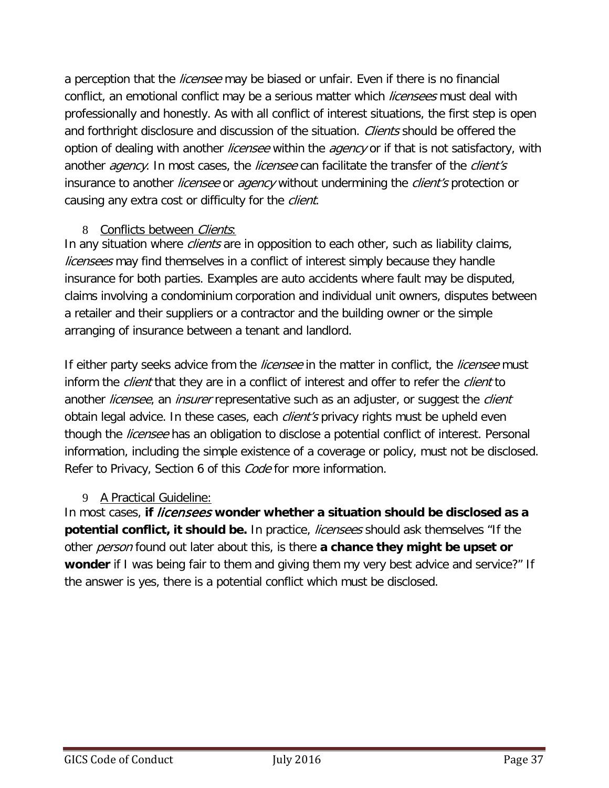a perception that the *licensee* may be biased or unfair. Even if there is no financial conflict, an emotional conflict may be a serious matter which *licensees* must deal with professionally and honestly. As with all conflict of interest situations, the first step is open and forthright disclosure and discussion of the situation. Clients should be offered the option of dealing with another *licensee* within the *agency* or if that is not satisfactory, with another *agency*. In most cases, the *licensee* can facilitate the transfer of the *client's* insurance to another *licensee* or *agency* without undermining the *client's* protection or causing any extra cost or difficulty for the *client*.

### <span id="page-36-0"></span>8 Conflicts between Clients:

In any situation where *clients* are in opposition to each other, such as liability claims, *licensees* may find themselves in a conflict of interest simply because they handle insurance for both parties. Examples are auto accidents where fault may be disputed, claims involving a condominium corporation and individual unit owners, disputes between a retailer and their suppliers or a contractor and the building owner or the simple arranging of insurance between a tenant and landlord.

If either party seeks advice from the *licensee* in the matter in conflict, the *licensee* must inform the *client* that they are in a conflict of interest and offer to refer the *client* to another *licensee*, an *insurer* representative such as an adjuster, or suggest the *client* obtain legal advice. In these cases, each *client's* privacy rights must be upheld even though the *licensee* has an obligation to disclose a potential conflict of interest. Personal information, including the simple existence of a coverage or policy, must not be disclosed. Refer to Privacy, Section 6 of this *Code* for more information.

## <span id="page-36-1"></span>9 A Practical Guideline:

In most cases, **if** licensees **wonder whether a situation should be disclosed as a potential conflict, it should be.** In practice, licensees should ask themselves "If the other person found out later about this, is there **a chance they might be upset or wonder** if I was being fair to them and giving them my very best advice and service?" If the answer is yes, there is a potential conflict which must be disclosed.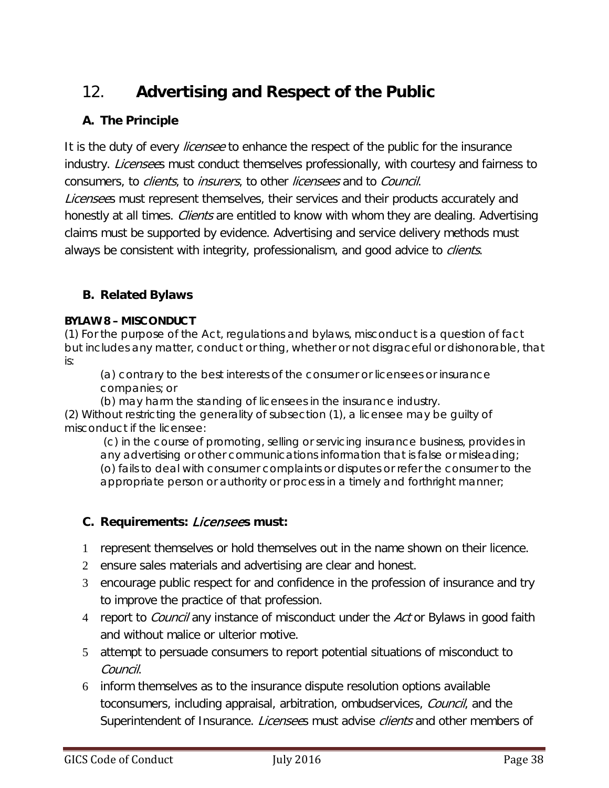# <span id="page-37-0"></span>12. **Advertising and Respect of the Public**

## **A. The Principle**

It is the duty of every *licensee* to enhance the respect of the public for the insurance industry. *Licensee*s must conduct themselves professionally, with courtesy and fairness to consumers, to clients, to insurers, to other licensees and to Council.

Licensees must represent themselves, their services and their products accurately and honestly at all times. *Clients* are entitled to know with whom they are dealing. Advertising claims must be supported by evidence. Advertising and service delivery methods must always be consistent with integrity, professionalism, and good advice to *clients*.

## **B. Related Bylaws**

#### **BYLAW 8 – MISCONDUCT**

(1) For the purpose of the Act, regulations and bylaws, misconduct is a question of fact but includes any matter, conduct or thing, whether or not disgraceful or dishonorable, that is:

(a) contrary to the best interests of the consumer or licensees or insurance companies; or

(b) may harm the standing of licensees in the insurance industry. (2) Without restricting the generality of subsection (1), a licensee may be guilty of misconduct if the licensee:

(c) in the course of promoting, selling or servicing insurance business, provides in any advertising or other communications information that is false or misleading; (o) fails to deal with consumer complaints or disputes or refer the consumer to the appropriate person or authority or process in a timely and forthright manner;

#### **C. Requirements:** Licensee**s must:**

- 1 represent themselves or hold themselves out in the name shown on their licence.
- 2 ensure sales materials and advertising are clear and honest.
- 3 encourage public respect for and confidence in the profession of insurance and try to improve the practice of that profession.
- 4 report to *Council* any instance of misconduct under the Act or Bylaws in good faith and without malice or ulterior motive.
- 5 attempt to persuade consumers to report potential situations of misconduct to Council.
- 6 inform themselves as to the insurance dispute resolution options available toconsumers, including appraisal, arbitration, ombudservices, *Council*, and the Superintendent of Insurance. Licensees must advise clients and other members of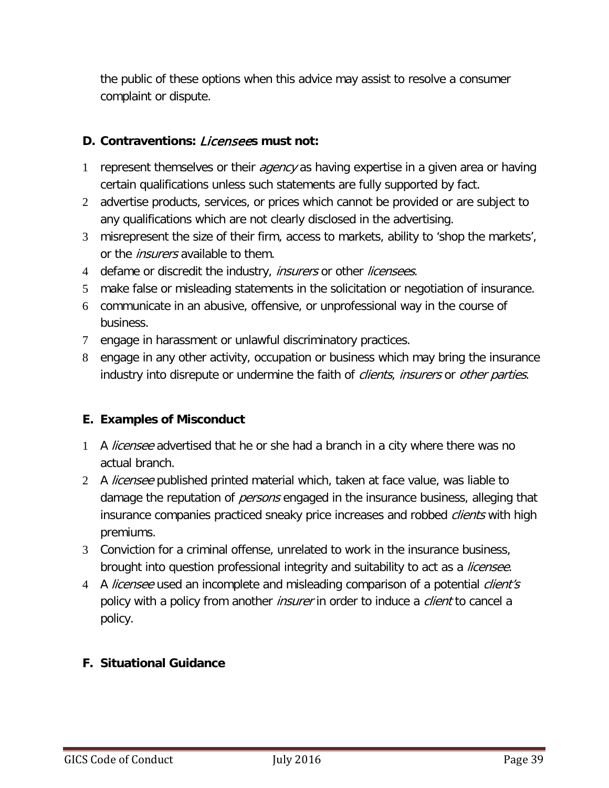the public of these options when this advice may assist to resolve a consumer complaint or dispute.

## **D. Contraventions:** Licensee**s must not:**

- 1 represent themselves or their *agency* as having expertise in a given area or having certain qualifications unless such statements are fully supported by fact.
- 2 advertise products, services, or prices which cannot be provided or are subject to any qualifications which are not clearly disclosed in the advertising.
- 3 misrepresent the size of their firm, access to markets, ability to 'shop the markets', or the insurers available to them.
- 4 defame or discredit the industry, *insurers* or other *licensees*.
- 5 make false or misleading statements in the solicitation or negotiation of insurance.
- 6 communicate in an abusive, offensive, or unprofessional way in the course of business.
- 7 engage in harassment or unlawful discriminatory practices.
- 8 engage in any other activity, occupation or business which may bring the insurance industry into disrepute or undermine the faith of *clients, insurers* or *other parties.*

## **E. Examples of Misconduct**

- 1 A licensee advertised that he or she had a branch in a city where there was no actual branch.
- 2 A *licensee* published printed material which, taken at face value, was liable to damage the reputation of *persons* engaged in the insurance business, alleging that insurance companies practiced sneaky price increases and robbed *clients* with high premiums.
- 3 Conviction for a criminal offense, unrelated to work in the insurance business, brought into question professional integrity and suitability to act as a *licensee*.
- 4 A licensee used an incomplete and misleading comparison of a potential client's policy with a policy from another *insurer* in order to induce a *client* to cancel a policy.

## <span id="page-38-0"></span>**F. Situational Guidance**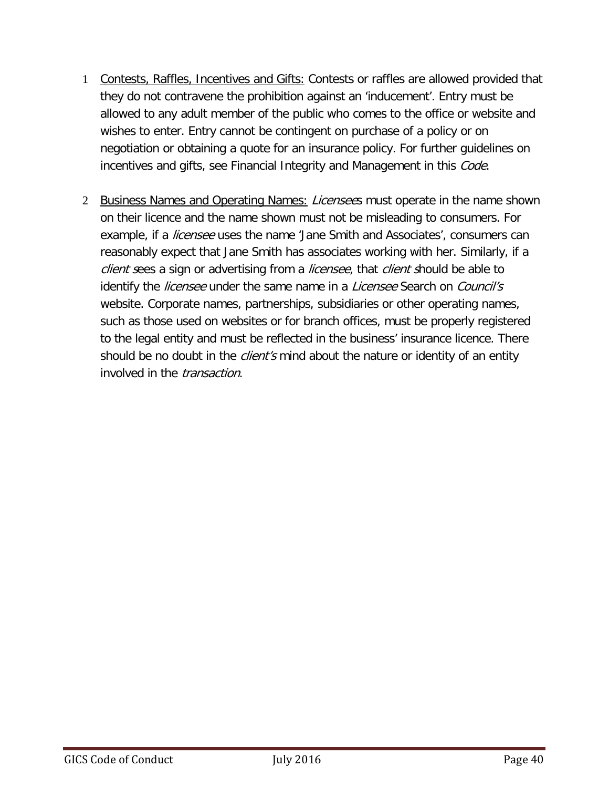- <span id="page-39-0"></span>1 Contests, Raffles, Incentives and Gifts: Contests or raffles are allowed provided that they do not contravene the prohibition against an 'inducement'. Entry must be allowed to any adult member of the public who comes to the office or website and wishes to enter. Entry cannot be contingent on purchase of a policy or on negotiation or obtaining a quote for an insurance policy. For further guidelines on incentives and gifts, see Financial Integrity and Management in this Code.
- <span id="page-39-1"></span>2 Business Names and Operating Names: Licensees must operate in the name shown on their licence and the name shown must not be misleading to consumers. For example, if a *licensee* uses the name 'Jane Smith and Associates', consumers can reasonably expect that Jane Smith has associates working with her. Similarly, if a client sees a sign or advertising from a licensee, that client should be able to identify the *licensee* under the same name in a *Licensee* Search on *Council's* website. Corporate names, partnerships, subsidiaries or other operating names, such as those used on websites or for branch offices, must be properly registered to the legal entity and must be reflected in the business' insurance licence. There should be no doubt in the *client's* mind about the nature or identity of an entity involved in the *transaction*.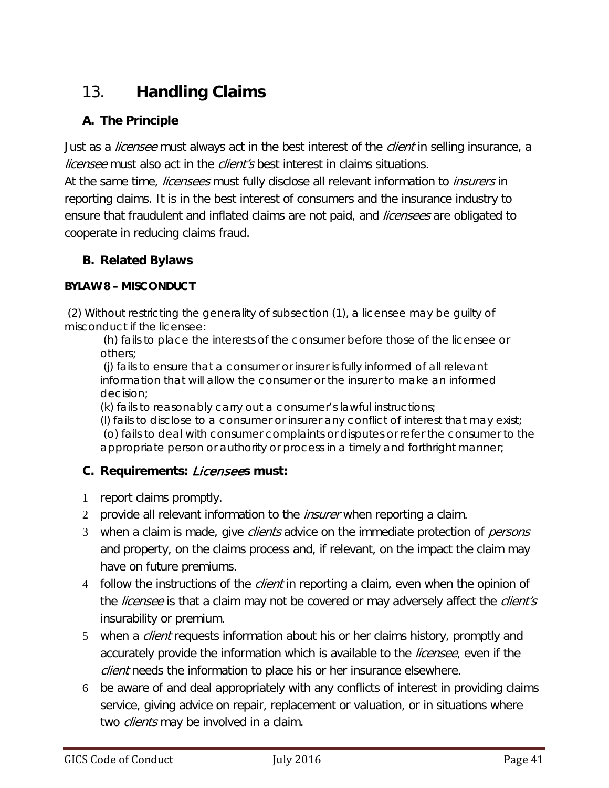# <span id="page-40-0"></span>13. **Handling Claims**

## **A. The Principle**

Just as a *licensee* must always act in the best interest of the *client* in selling insurance, a licensee must also act in the *client's* best interest in claims situations.

At the same time, *licensees* must fully disclose all relevant information to *insurers* in reporting claims. It is in the best interest of consumers and the insurance industry to ensure that fraudulent and inflated claims are not paid, and *licensees* are obligated to cooperate in reducing claims fraud.

## **B. Related Bylaws**

### **BYLAW 8 – MISCONDUCT**

(2) Without restricting the generality of subsection (1), a licensee may be guilty of misconduct if the licensee:

(h) fails to place the interests of the consumer before those of the licensee or others;

(j) fails to ensure that a consumer or insurer is fully informed of all relevant information that will allow the consumer or the insurer to make an informed decision;

(k) fails to reasonably carry out a consumer's lawful instructions;

(l) fails to disclose to a consumer or insurer any conflict of interest that may exist; (o) fails to deal with consumer complaints or disputes or refer the consumer to the appropriate person or authority or process in a timely and forthright manner;

## **C. Requirements:** Licensee**s must:**

- 1 report claims promptly.
- 2 provide all relevant information to the *insurer* when reporting a claim.
- 3 when a claim is made, give *clients* advice on the immediate protection of *persons* and property, on the claims process and, if relevant, on the impact the claim may have on future premiums.
- 4 follow the instructions of the *client* in reporting a claim, even when the opinion of the licensee is that a claim may not be covered or may adversely affect the client's insurability or premium.
- 5 when a *client* requests information about his or her claims history, promptly and accurately provide the information which is available to the *licensee*, even if the client needs the information to place his or her insurance elsewhere.
- 6 be aware of and deal appropriately with any conflicts of interest in providing claims service, giving advice on repair, replacement or valuation, or in situations where two *clients* may be involved in a claim.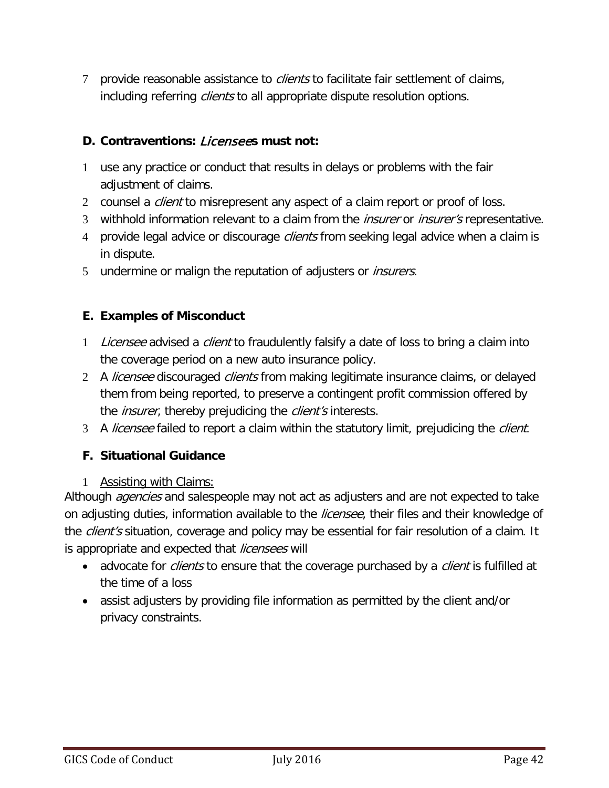7 provide reasonable assistance to *clients* to facilitate fair settlement of claims, including referring *clients* to all appropriate dispute resolution options.

## **D. Contraventions:** Licensee**s must not:**

- 1 use any practice or conduct that results in delays or problems with the fair adjustment of claims.
- 2 counsel a *client* to misrepresent any aspect of a claim report or proof of loss.
- 3 withhold information relevant to a claim from the *insurer* or *insurer's* representative.
- 4 provide legal advice or discourage *clients* from seeking legal advice when a claim is in dispute.
- 5 undermine or malign the reputation of adjusters or *insurers*.

## **E. Examples of Misconduct**

- 1 Licensee advised a client to fraudulently falsify a date of loss to bring a claim into the coverage period on a new auto insurance policy.
- 2 A licensee discouraged clients from making legitimate insurance claims, or delayed them from being reported, to preserve a contingent profit commission offered by the *insurer*, thereby prejudicing the *client's* interests.
- 3 A licensee failed to report a claim within the statutory limit, prejudicing the client.

## <span id="page-41-0"></span>**F. Situational Guidance**

## 1 Assisting with Claims:

<span id="page-41-1"></span>Although *agencies* and salespeople may not act as adjusters and are not expected to take on adjusting duties, information available to the *licensee*, their files and their knowledge of the *client's* situation, coverage and policy may be essential for fair resolution of a claim. It is appropriate and expected that *licensees* will

- advocate for *clients* to ensure that the coverage purchased by a *client* is fulfilled at the time of a loss
- assist adjusters by providing file information as permitted by the client and/or privacy constraints.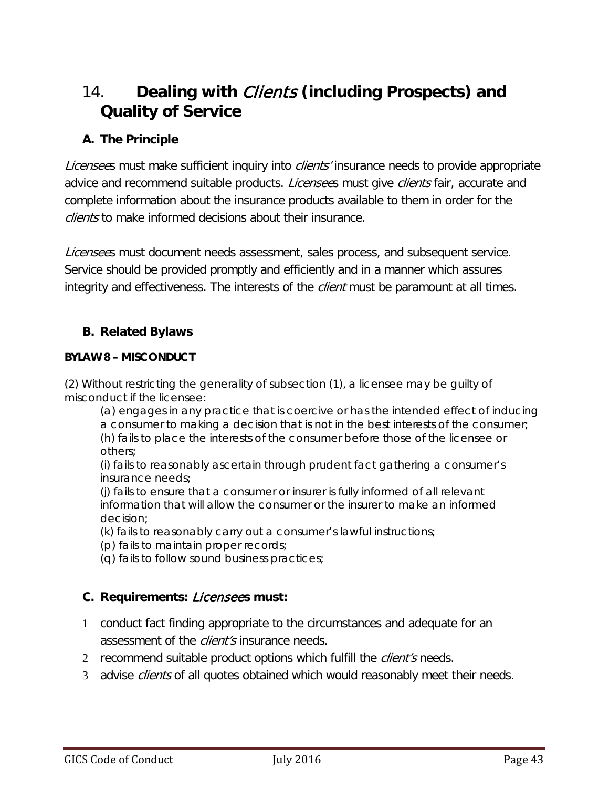## <span id="page-42-0"></span>14. **Dealing with** Clients **(including Prospects) and Quality of Service**

## **A. The Principle**

Licensees must make sufficient inquiry into clients' insurance needs to provide appropriate advice and recommend suitable products. Licensees must give clients fair, accurate and complete information about the insurance products available to them in order for the clients to make informed decisions about their insurance.

Licensees must document needs assessment, sales process, and subsequent service. Service should be provided promptly and efficiently and in a manner which assures integrity and effectiveness. The interests of the *client* must be paramount at all times.

## **B. Related Bylaws**

#### **BYLAW 8 – MISCONDUCT**

(2) Without restricting the generality of subsection (1), a licensee may be guilty of misconduct if the licensee:

(a) engages in any practice that is coercive or has the intended effect of inducing a consumer to making a decision that is not in the best interests of the consumer; (h) fails to place the interests of the consumer before those of the licensee or others;

(i) fails to reasonably ascertain through prudent fact gathering a consumer's insurance needs;

(j) fails to ensure that a consumer or insurer is fully informed of all relevant information that will allow the consumer or the insurer to make an informed decision;

(k) fails to reasonably carry out a consumer's lawful instructions;

(p) fails to maintain proper records;

(q) fails to follow sound business practices;

## **C. Requirements:** Licensee**s must:**

- 1 conduct fact finding appropriate to the circumstances and adequate for an assessment of the *client's* insurance needs.
- 2 recommend suitable product options which fulfill the *client's* needs.
- 3 advise *clients* of all quotes obtained which would reasonably meet their needs.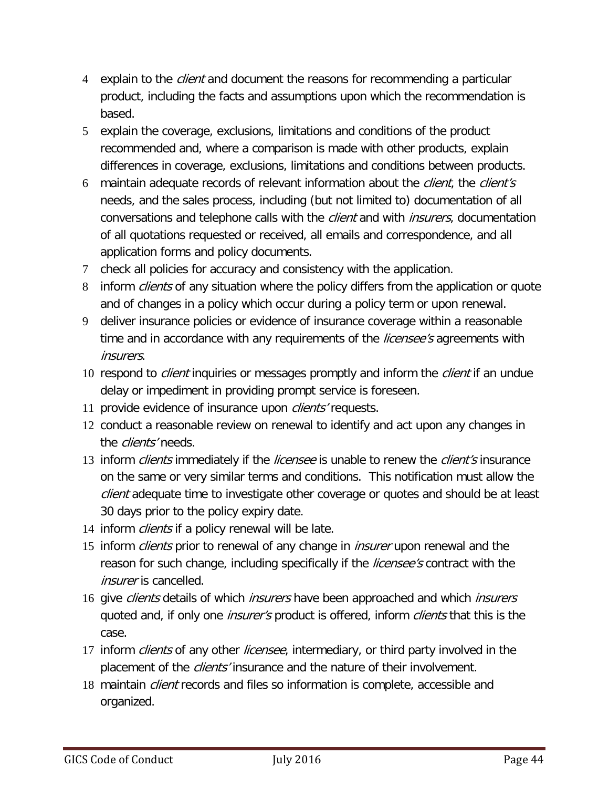- 4 explain to the *client* and document the reasons for recommending a particular product, including the facts and assumptions upon which the recommendation is based.
- 5 explain the coverage, exclusions, limitations and conditions of the product recommended and, where a comparison is made with other products, explain differences in coverage, exclusions, limitations and conditions between products.
- 6 maintain adequate records of relevant information about the *client*, the *client's* needs, and the sales process, including (but not limited to) documentation of all conversations and telephone calls with the *client* and with *insurers*, documentation of all quotations requested or received, all emails and correspondence, and all application forms and policy documents.
- 7 check all policies for accuracy and consistency with the application.
- 8 inform *clients* of any situation where the policy differs from the application or quote and of changes in a policy which occur during a policy term or upon renewal.
- 9 deliver insurance policies or evidence of insurance coverage within a reasonable time and in accordance with any requirements of the *licensee's* agreements with insurers.
- 10 respond to *client* inquiries or messages promptly and inform the *client* if an undue delay or impediment in providing prompt service is foreseen.
- 11 provide evidence of insurance upon *clients'* requests.
- 12 conduct a reasonable review on renewal to identify and act upon any changes in the *clients'* needs.
- 13 inform *clients* immediately if the *licensee* is unable to renew the *client's* insurance on the same or very similar terms and conditions. This notification must allow the client adequate time to investigate other coverage or quotes and should be at least 30 days prior to the policy expiry date.
- 14 inform *clients* if a policy renewal will be late.
- 15 inform *clients* prior to renewal of any change in *insurer* upon renewal and the reason for such change, including specifically if the *licensee's* contract with the insurer is cancelled.
- 16 give *clients* details of which *insurers* have been approached and which *insurers* quoted and, if only one *insurer's* product is offered, inform *clients* that this is the case.
- 17 inform *clients* of any other *licensee*, intermediary, or third party involved in the placement of the *clients'* insurance and the nature of their involvement.
- 18 maintain *client* records and files so information is complete, accessible and organized.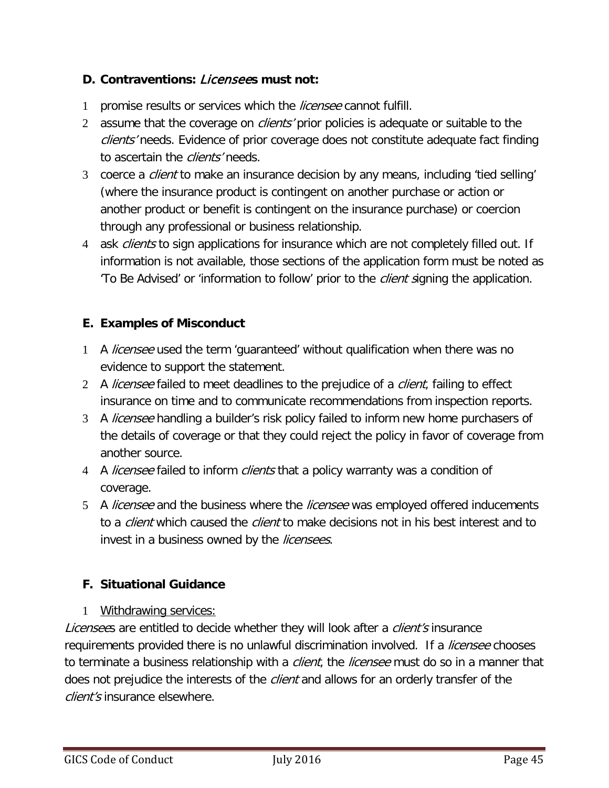## **D. Contraventions:** Licensee**s must not:**

- 1 promise results or services which the *licensee* cannot fulfill.
- 2 assume that the coverage on *clients'* prior policies is adequate or suitable to the clients' needs. Evidence of prior coverage does not constitute adequate fact finding to ascertain the clients' needs.
- 3 coerce a *client* to make an insurance decision by any means, including 'tied selling' (where the insurance product is contingent on another purchase or action or another product or benefit is contingent on the insurance purchase) or coercion through any professional or business relationship.
- 4 ask *clients* to sign applications for insurance which are not completely filled out. If information is not available, those sections of the application form must be noted as 'To Be Advised' or 'information to follow' prior to the *client signing the application*.

## **E. Examples of Misconduct**

- 1 A *licensee* used the term 'guaranteed' without qualification when there was no evidence to support the statement.
- 2 A licensee failed to meet deadlines to the prejudice of a client, failing to effect insurance on time and to communicate recommendations from inspection reports.
- 3 A licensee handling a builder's risk policy failed to inform new home purchasers of the details of coverage or that they could reject the policy in favor of coverage from another source.
- 4 A licensee failed to inform clients that a policy warranty was a condition of coverage.
- 5 A licensee and the business where the licensee was employed offered inducements to a *client* which caused the *client* to make decisions not in his best interest and to invest in a business owned by the *licensees*.

## <span id="page-44-0"></span>**F. Situational Guidance**

#### 1 Withdrawing services:

<span id="page-44-1"></span>Licensees are entitled to decide whether they will look after a client's insurance requirements provided there is no unlawful discrimination involved. If a *licensee* chooses to terminate a business relationship with a *client*, the *licensee* must do so in a manner that does not prejudice the interests of the *client* and allows for an orderly transfer of the client's insurance elsewhere.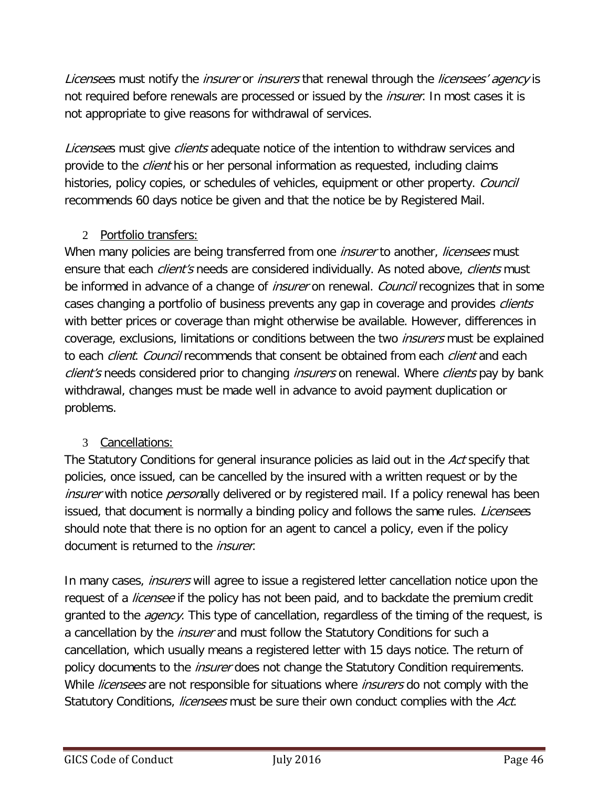Licensees must notify the *insurer* or *insurers* that renewal through the *licensees' agency* is not required before renewals are processed or issued by the *insurer*. In most cases it is not appropriate to give reasons for withdrawal of services.

Licensees must give clients adequate notice of the intention to withdraw services and provide to the *client* his or her personal information as requested, including claims histories, policy copies, or schedules of vehicles, equipment or other property. *Council* recommends 60 days notice be given and that the notice be by Registered Mail.

### <span id="page-45-0"></span>2 Portfolio transfers:

When many policies are being transferred from one *insurer* to another, licensees must ensure that each *client's* needs are considered individually. As noted above, *clients* must be informed in advance of a change of *insurer* on renewal. *Council* recognizes that in some cases changing a portfolio of business prevents any gap in coverage and provides *clients* with better prices or coverage than might otherwise be available. However, differences in coverage, exclusions, limitations or conditions between the two *insurers* must be explained to each *client. Council* recommends that consent be obtained from each *client* and each client's needs considered prior to changing *insurers* on renewal. Where *clients* pay by bank withdrawal, changes must be made well in advance to avoid payment duplication or problems.

#### 3 Cancellations:

<span id="page-45-1"></span>The Statutory Conditions for general insurance policies as laid out in the Act specify that policies, once issued, can be cancelled by the insured with a written request or by the insurer with notice *person*ally delivered or by registered mail. If a policy renewal has been issued, that document is normally a binding policy and follows the same rules. *Licensees* should note that there is no option for an agent to cancel a policy, even if the policy document is returned to the *insurer*.

In many cases, *insurers* will agree to issue a registered letter cancellation notice upon the request of a *licensee* if the policy has not been paid, and to backdate the premium credit granted to the *agency*. This type of cancellation, regardless of the timing of the request, is a cancellation by the *insurer* and must follow the Statutory Conditions for such a cancellation, which usually means a registered letter with 15 days notice. The return of policy documents to the *insurer* does not change the Statutory Condition requirements. While *licensees* are not responsible for situations where *insurers* do not comply with the Statutory Conditions, *licensees* must be sure their own conduct complies with the Act.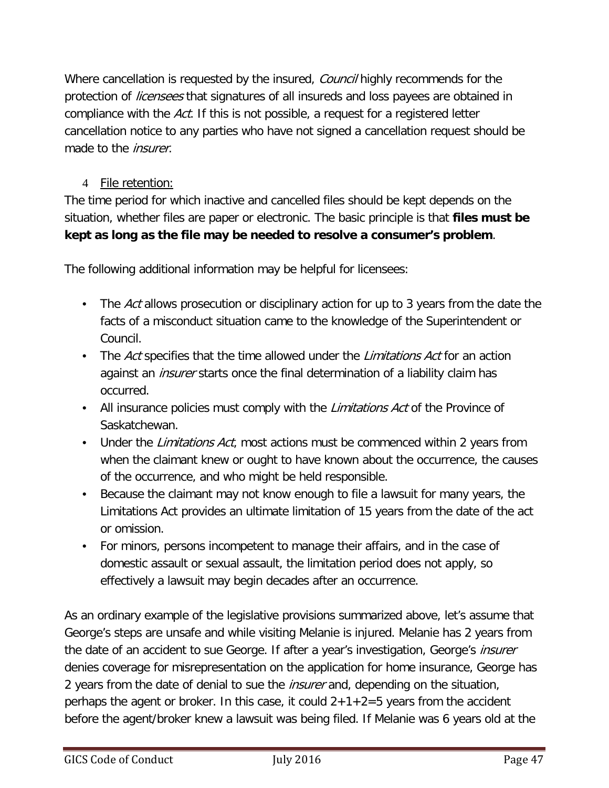Where cancellation is requested by the insured, Council highly recommends for the protection of *licensees* that signatures of all insureds and loss payees are obtained in compliance with the Act. If this is not possible, a request for a registered letter cancellation notice to any parties who have not signed a cancellation request should be made to the *insurer*.

## 4 File retention:

<span id="page-46-0"></span>The time period for which inactive and cancelled files should be kept depends on the situation, whether files are paper or electronic. The basic principle is that **files must be kept as long as the file may be needed to resolve a consumer's problem**.

The following additional information may be helpful for licensees:

- The Act allows prosecution or disciplinary action for up to 3 years from the date the facts of a misconduct situation came to the knowledge of the Superintendent or Council.
- The Act specifies that the time allowed under the *Limitations Act* for an action against an *insurer* starts once the final determination of a liability claim has occurred.
- All insurance policies must comply with the *Limitations Act* of the Province of Saskatchewan.
- Under the *Limitations Act*, most actions must be commenced within 2 years from when the claimant knew or ought to have known about the occurrence, the causes of the occurrence, and who might be held responsible.
- Because the claimant may not know enough to file a lawsuit for many years, the Limitations Act provides an ultimate limitation of 15 years from the date of the act or omission.
- For minors, persons incompetent to manage their affairs, and in the case of domestic assault or sexual assault, the limitation period does not apply, so effectively a lawsuit may begin decades after an occurrence.

As an ordinary example of the legislative provisions summarized above, let's assume that George's steps are unsafe and while visiting Melanie is injured. Melanie has 2 years from the date of an accident to sue George. If after a year's investigation, George's *insurer* denies coverage for misrepresentation on the application for home insurance, George has 2 years from the date of denial to sue the *insurer* and, depending on the situation, perhaps the agent or broker. In this case, it could  $2+1+2=5$  years from the accident before the agent/broker knew a lawsuit was being filed. If Melanie was 6 years old at the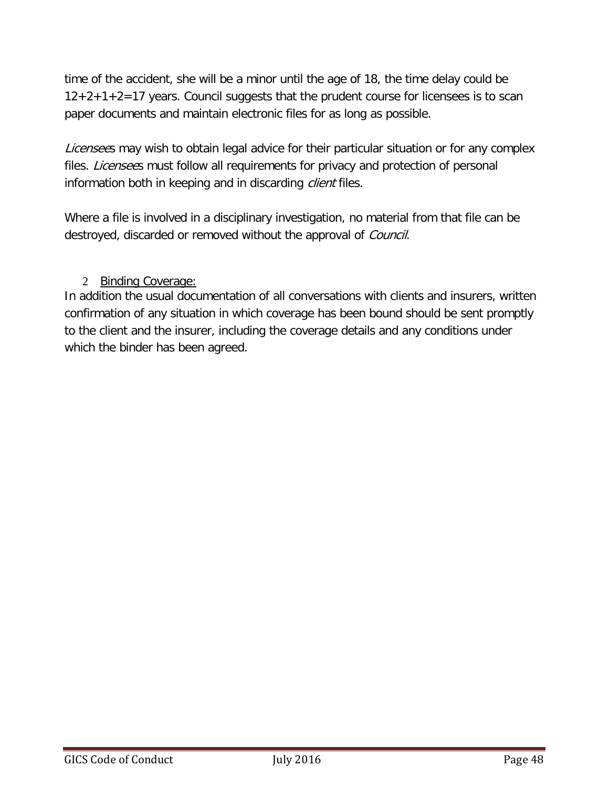time of the accident, she will be a minor until the age of 18, the time delay could be 12+2+1+2=17 years. Council suggests that the prudent course for licensees is to scan paper documents and maintain electronic files for as long as possible.

Licensees may wish to obtain legal advice for their particular situation or for any complex files. *Licensee*s must follow all requirements for privacy and protection of personal information both in keeping and in discarding client files.

Where a file is involved in a disciplinary investigation, no material from that file can be destroyed, discarded or removed without the approval of *Council*.

### <span id="page-47-0"></span>2 Binding Coverage:

In addition the usual documentation of all conversations with clients and insurers, written confirmation of any situation in which coverage has been bound should be sent promptly to the client and the insurer, including the coverage details and any conditions under which the binder has been agreed.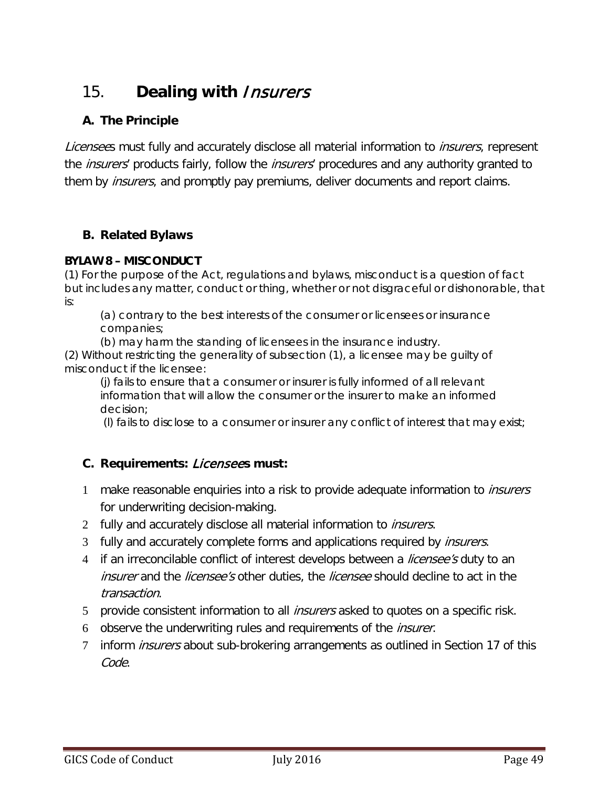## <span id="page-48-0"></span>15. **Dealing with** Insurers

## **A. The Principle**

Licensees must fully and accurately disclose all material information to *insurers*, represent the *insurers'* products fairly, follow the *insurers'* procedures and any authority granted to them by *insurers*, and promptly pay premiums, deliver documents and report claims.

## **B. Related Bylaws**

#### **BYLAW 8 – MISCONDUCT**

(1) For the purpose of the Act, regulations and bylaws, misconduct is a question of fact but includes any matter, conduct or thing, whether or not disgraceful or dishonorable, that is:

(a) contrary to the best interests of the consumer or licensees or insurance companies;

(b) may harm the standing of licensees in the insurance industry.

(2) Without restricting the generality of subsection (1), a licensee may be guilty of misconduct if the licensee:

(j) fails to ensure that a consumer or insurer is fully informed of all relevant information that will allow the consumer or the insurer to make an informed decision;

(l) fails to disclose to a consumer or insurer any conflict of interest that may exist;

## **C. Requirements:** Licensee**s must:**

- 1 make reasonable enquiries into a risk to provide adequate information to *insurers* for underwriting decision-making.
- 2 fully and accurately disclose all material information to *insurers*.
- 3 fully and accurately complete forms and applications required by *insurers*.
- 4 if an irreconcilable conflict of interest develops between a *licensee's* duty to an insurer and the *licensee's* other duties, the *licensee* should decline to act in the transaction.
- 5 provide consistent information to all *insurers* asked to quotes on a specific risk.
- 6 observe the underwriting rules and requirements of the insurer.
- 7 inform *insurers* about sub-brokering arrangements as outlined in Section 17 of this Code.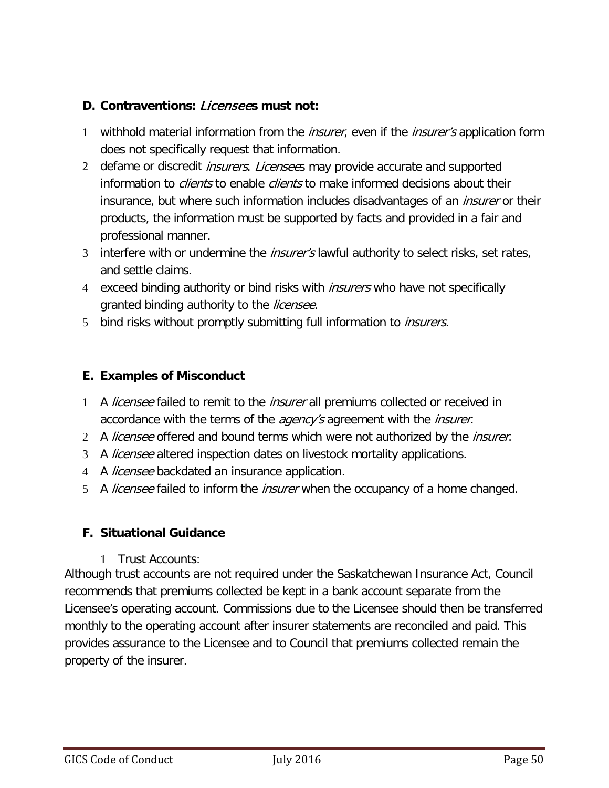## **D. Contraventions:** Licensee**s must not:**

- 1 withhold material information from the *insurer*, even if the *insurer's* application form does not specifically request that information.
- 2 defame or discredit *insurers. Licensee*s may provide accurate and supported information to *clients* to enable *clients* to make informed decisions about their insurance, but where such information includes disadvantages of an *insurer* or their products, the information must be supported by facts and provided in a fair and professional manner.
- 3 interfere with or undermine the *insurer's* lawful authority to select risks, set rates, and settle claims.
- 4 exceed binding authority or bind risks with *insurers* who have not specifically granted binding authority to the *licensee*.
- 5 bind risks without promptly submitting full information to *insurers*.

### **E. Examples of Misconduct**

- 1 A licensee failed to remit to the insurer all premiums collected or received in accordance with the terms of the *agency's* agreement with the *insurer*.
- 2 A licensee offered and bound terms which were not authorized by the insurer.
- 3 A *licensee* altered inspection dates on livestock mortality applications.
- 4 A *licensee* backdated an insurance application.
- 5 A *licensee* failed to inform the *insurer* when the occupancy of a home changed.

#### <span id="page-49-0"></span>**F. Situational Guidance**

#### 1 Trust Accounts:

<span id="page-49-1"></span>Although trust accounts are not required under the Saskatchewan Insurance Act, Council recommends that premiums collected be kept in a bank account separate from the Licensee's operating account. Commissions due to the Licensee should then be transferred monthly to the operating account after insurer statements are reconciled and paid. This provides assurance to the Licensee and to Council that premiums collected remain the property of the insurer.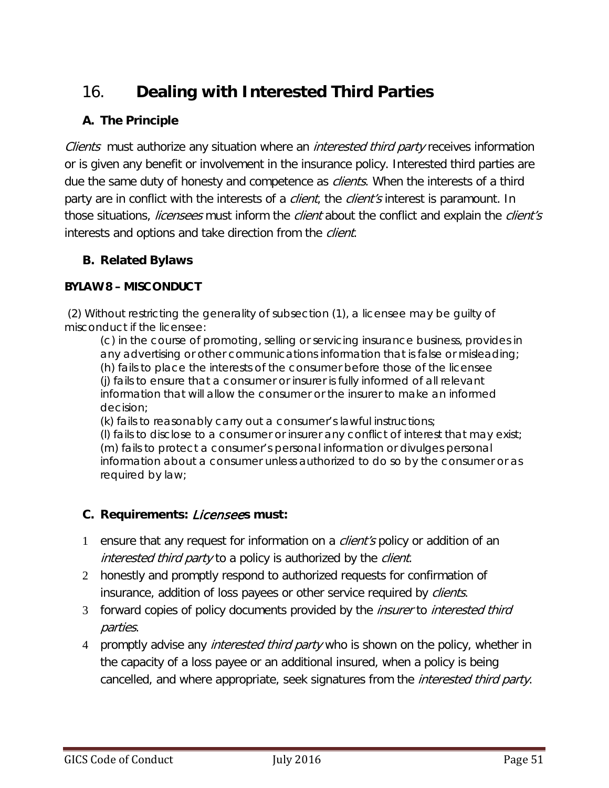# <span id="page-50-0"></span>16. **Dealing with Interested Third Parties**

## **A. The Principle**

Clients must authorize any situation where an *interested third party* receives information or is given any benefit or involvement in the insurance policy. Interested third parties are due the same duty of honesty and competence as *clients*. When the interests of a third party are in conflict with the interests of a *client*, the *client's* interest is paramount. In those situations, *licensees* must inform the *client* about the conflict and explain the *client's* interests and options and take direction from the *client*.

## **B. Related Bylaws**

## **BYLAW 8 – MISCONDUCT**

(2) Without restricting the generality of subsection (1), a licensee may be guilty of misconduct if the licensee:

(c) in the course of promoting, selling or servicing insurance business, provides in any advertising or other communications information that is false or misleading; (h) fails to place the interests of the consumer before those of the licensee (j) fails to ensure that a consumer or insurer is fully informed of all relevant information that will allow the consumer or the insurer to make an informed decision;

(k) fails to reasonably carry out a consumer's lawful instructions;

(l) fails to disclose to a consumer or insurer any conflict of interest that may exist; (m) fails to protect a consumer's personal information or divulges personal information about a consumer unless authorized to do so by the consumer or as required by law;

## **C. Requirements:** Licensee**s must:**

- 1 ensure that any request for information on a *client's* policy or addition of an interested third party to a policy is authorized by the client.
- 2 honestly and promptly respond to authorized requests for confirmation of insurance, addition of loss payees or other service required by *clients*.
- 3 forward copies of policy documents provided by the *insurer* to *interested third* parties.
- 4 promptly advise any *interested third party* who is shown on the policy, whether in the capacity of a loss payee or an additional insured, when a policy is being cancelled, and where appropriate, seek signatures from the *interested third party*.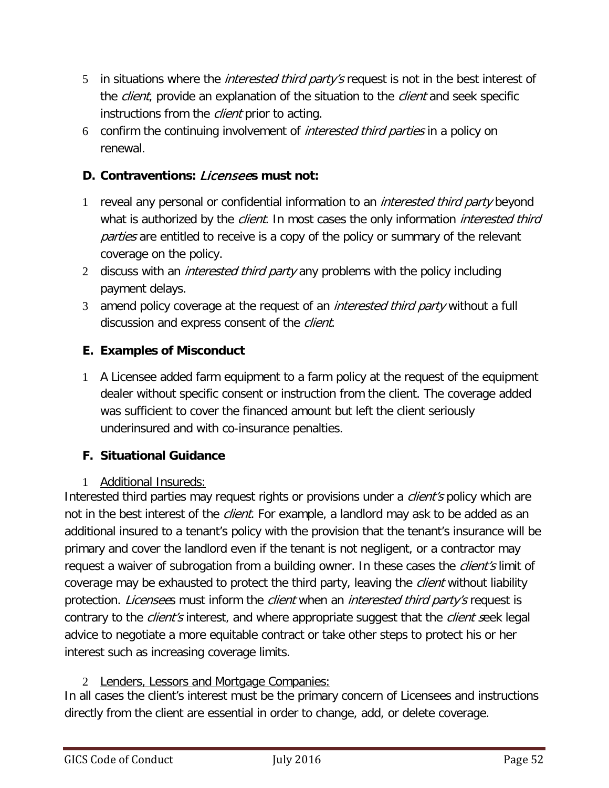- 5 in situations where the *interested third party's* request is not in the best interest of the *client*, provide an explanation of the situation to the *client* and seek specific instructions from the *client* prior to acting.
- 6 confirm the continuing involvement of interested third parties in a policy on renewal.

### **D. Contraventions:** Licensee**s must not:**

- 1 reveal any personal or confidential information to an *interested third party* beyond what is authorized by the *client*. In most cases the only information *interested third* parties are entitled to receive is a copy of the policy or summary of the relevant coverage on the policy.
- 2 discuss with an *interested third party* any problems with the policy including payment delays.
- 3 amend policy coverage at the request of an *interested third party* without a full discussion and express consent of the *client*.

### **E. Examples of Misconduct**

1 A Licensee added farm equipment to a farm policy at the request of the equipment dealer without specific consent or instruction from the client. The coverage added was sufficient to cover the financed amount but left the client seriously underinsured and with co-insurance penalties.

#### <span id="page-51-0"></span>**F. Situational Guidance**

#### 1 Additional Insureds:

<span id="page-51-1"></span>Interested third parties may request rights or provisions under a *client's* policy which are not in the best interest of the *client*. For example, a landlord may ask to be added as an additional insured to a tenant's policy with the provision that the tenant's insurance will be primary and cover the landlord even if the tenant is not negligent, or a contractor may request a waiver of subrogation from a building owner. In these cases the *client's* limit of coverage may be exhausted to protect the third party, leaving the *client* without liability protection. *Licensees* must inform the *client* when an *interested third party's* request is contrary to the *client's* interest, and where appropriate suggest that the *client s*eek legal advice to negotiate a more equitable contract or take other steps to protect his or her interest such as increasing coverage limits.

#### <span id="page-51-2"></span>2 Lenders, Lessors and Mortgage Companies:

In all cases the client's interest must be the primary concern of Licensees and instructions directly from the client are essential in order to change, add, or delete coverage.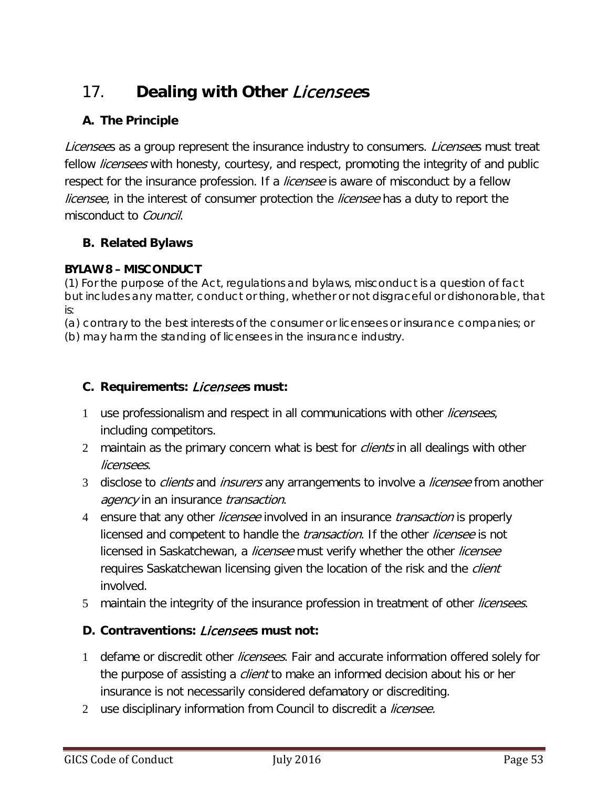# <span id="page-52-0"></span>17. **Dealing with Other** Licensee**s**

## **A. The Principle**

Licensees as a group represent the insurance industry to consumers. Licensees must treat fellow *licensees* with honesty, courtesy, and respect, promoting the integrity of and public respect for the insurance profession. If a *licensee* is aware of misconduct by a fellow *licensee*, in the interest of consumer protection the *licensee* has a duty to report the misconduct to Council.

## **B. Related Bylaws**

### **BYLAW 8 – MISCONDUCT**

(1) For the purpose of the Act, regulations and bylaws, misconduct is a question of fact but includes any matter, conduct or thing, whether or not disgraceful or dishonorable, that is:

(a) contrary to the best interests of the consumer or licensees or insurance companies; or (b) may harm the standing of licensees in the insurance industry.

### **C. Requirements:** Licensee**s must:**

- 1 use professionalism and respect in all communications with other *licensees*, including competitors.
- 2 maintain as the primary concern what is best for *clients* in all dealings with other licensees.
- 3 disclose to *clients* and *insurers* any arrangements to involve a *licensee* from another agency in an insurance *transaction*.
- 4 ensure that any other *licensee* involved in an insurance *transaction* is properly licensed and competent to handle the *transaction*. If the other *licensee* is not licensed in Saskatchewan, a *licensee* must verify whether the other *licensee* requires Saskatchewan licensing given the location of the risk and the *client* involved.
- 5 maintain the integrity of the insurance profession in treatment of other *licensees*.

## **D. Contraventions:** Licensee**s must not:**

- 1 defame or discredit other *licensees*. Fair and accurate information offered solely for the purpose of assisting a *client* to make an informed decision about his or her insurance is not necessarily considered defamatory or discrediting.
- 2 use disciplinary information from Council to discredit a *licensee.*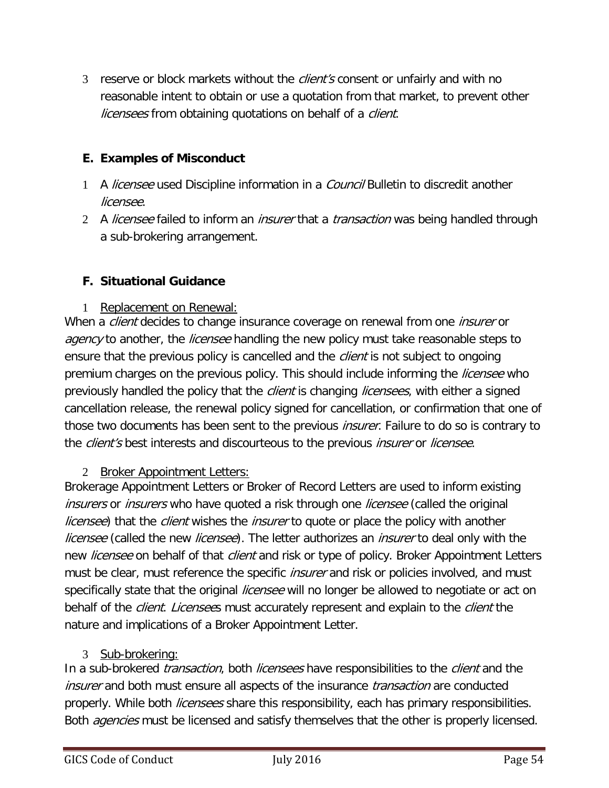3 reserve or block markets without the *client's* consent or unfairly and with no reasonable intent to obtain or use a quotation from that market, to prevent other licensees from obtaining quotations on behalf of a client.

## **E. Examples of Misconduct**

- 1 A *licensee* used Discipline information in a *Council* Bulletin to discredit another licensee.
- 2 A licensee failed to inform an insurer that a transaction was being handled through a sub-brokering arrangement.

## <span id="page-53-0"></span>**F. Situational Guidance**

1 Replacement on Renewal:

<span id="page-53-1"></span>When a *client* decides to change insurance coverage on renewal from one *insurer* or agency to another, the licensee handling the new policy must take reasonable steps to ensure that the previous policy is cancelled and the *client* is not subject to ongoing premium charges on the previous policy. This should include informing the *licensee* who previously handled the policy that the *client* is changing *licensees*, with either a signed cancellation release, the renewal policy signed for cancellation, or confirmation that one of those two documents has been sent to the previous *insurer*. Failure to do so is contrary to the *client's* best interests and discourteous to the previous *insurer* or *licensee*.

## <span id="page-53-2"></span>2 Broker Appointment Letters:

Brokerage Appointment Letters or Broker of Record Letters are used to inform existing insurers or insurers who have quoted a risk through one licensee (called the original *licensee*) that the *client* wishes the *insurer* to quote or place the policy with another licensee (called the new licensee). The letter authorizes an *insurer* to deal only with the new *licensee* on behalf of that *client* and risk or type of policy. Broker Appointment Letters must be clear, must reference the specific *insurer* and risk or policies involved, and must specifically state that the original *licensee* will no longer be allowed to negotiate or act on behalf of the client. Licensees must accurately represent and explain to the client the nature and implications of a Broker Appointment Letter.

## <span id="page-53-3"></span>3 Sub-brokering:

In a sub-brokered *transaction*, both *licensees* have responsibilities to the *client* and the insurer and both must ensure all aspects of the insurance *transaction* are conducted properly. While both *licensees* share this responsibility, each has primary responsibilities. Both *agencies* must be licensed and satisfy themselves that the other is properly licensed.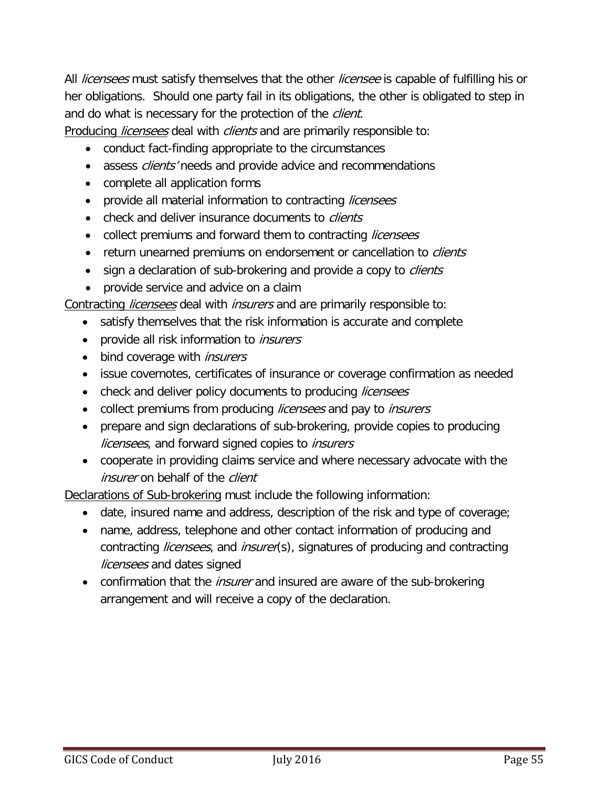All *licensees* must satisfy themselves that the other *licensee* is capable of fulfilling his or her obligations. Should one party fail in its obligations, the other is obligated to step in and do what is necessary for the protection of the *client*.

Producing licensees deal with clients and are primarily responsible to:

- conduct fact-finding appropriate to the circumstances
- assess *clients'* needs and provide advice and recommendations
- complete all application forms
- provide all material information to contracting *licensees*
- check and deliver insurance documents to *clients*
- collect premiums and forward them to contracting *licensees*
- return unearned premiums on endorsement or cancellation to *clients*
- sign a declaration of sub-brokering and provide a copy to *clients*
- provide service and advice on a claim

Contracting *licensees* deal with *insurers* and are primarily responsible to:

- satisfy themselves that the risk information is accurate and complete
- provide all risk information to *insurers*
- bind coverage with *insurers*
- issue covernotes, certificates of insurance or coverage confirmation as needed
- check and deliver policy documents to producing *licensees*
- collect premiums from producing *licensees* and pay to *insurers*
- prepare and sign declarations of sub-brokering, provide copies to producing licensees, and forward signed copies to insurers
- cooperate in providing claims service and where necessary advocate with the insurer on behalf of the client

Declarations of Sub-brokering must include the following information:

- date, insured name and address, description of the risk and type of coverage;
- name, address, telephone and other contact information of producing and contracting licensees, and insurer(s), signatures of producing and contracting licensees and dates signed
- confirmation that the *insurer* and insured are aware of the sub-brokering arrangement and will receive a copy of the declaration.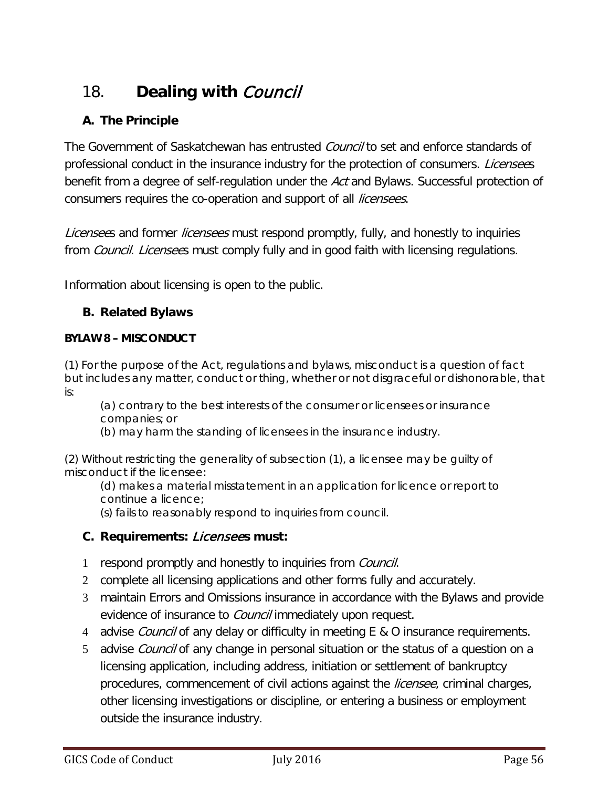# <span id="page-55-0"></span>18. **Dealing with** Council

## **A. The Principle**

The Government of Saskatchewan has entrusted *Council* to set and enforce standards of professional conduct in the insurance industry for the protection of consumers. *Licensees* benefit from a degree of self-regulation under the Act and Bylaws. Successful protection of consumers requires the co-operation and support of all *licensees*.

Licensees and former licensees must respond promptly, fully, and honestly to inquiries from *Council. Licensee*s must comply fully and in good faith with licensing regulations.

Information about licensing is open to the public.

## **B. Related Bylaws**

#### **BYLAW 8 – MISCONDUCT**

(1) For the purpose of the Act, regulations and bylaws, misconduct is a question of fact but includes any matter, conduct or thing, whether or not disgraceful or dishonorable, that is:

(a) contrary to the best interests of the consumer or licensees or insurance companies; or

(b) may harm the standing of licensees in the insurance industry.

(2) Without restricting the generality of subsection (1), a licensee may be guilty of misconduct if the licensee:

(d) makes a material misstatement in an application for licence or report to continue a licence;

(s) fails to reasonably respond to inquiries from council.

## **C. Requirements:** Licensee**s must:**

- 1 respond promptly and honestly to inquiries from *Council*.
- 2 complete all licensing applications and other forms fully and accurately.
- 3 maintain Errors and Omissions insurance in accordance with the Bylaws and provide evidence of insurance to *Council* immediately upon request.
- 4 advise *Council* of any delay or difficulty in meeting E & O insurance requirements.
- 5 advise *Council* of any change in personal situation or the status of a question on a licensing application, including address, initiation or settlement of bankruptcy procedures, commencement of civil actions against the *licensee*, criminal charges, other licensing investigations or discipline, or entering a business or employment outside the insurance industry.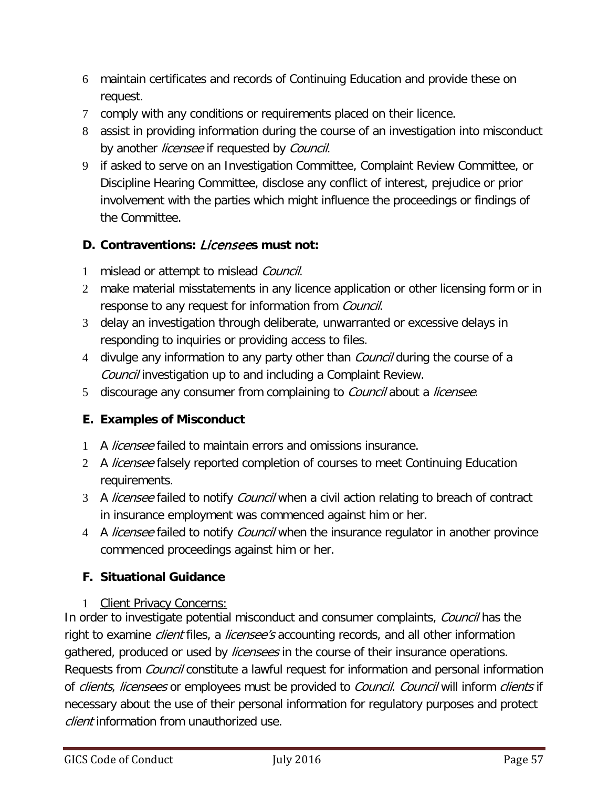- 6 maintain certificates and records of Continuing Education and provide these on request.
- 7 comply with any conditions or requirements placed on their licence.
- 8 assist in providing information during the course of an investigation into misconduct by another *licensee* if requested by *Council*.
- 9 if asked to serve on an Investigation Committee, Complaint Review Committee, or Discipline Hearing Committee, disclose any conflict of interest, prejudice or prior involvement with the parties which might influence the proceedings or findings of the Committee.

## **D. Contraventions:** Licensee**s must not:**

- 1 mislead or attempt to mislead Council.
- 2 make material misstatements in any licence application or other licensing form or in response to any request for information from Council.
- 3 delay an investigation through deliberate, unwarranted or excessive delays in responding to inquiries or providing access to files.
- 4 divulge any information to any party other than *Council* during the course of a Council investigation up to and including a Complaint Review.
- 5 discourage any consumer from complaining to *Council* about a *licensee*.

## **E. Examples of Misconduct**

- 1 A *licensee* failed to maintain errors and omissions insurance.
- 2 A *licensee* falsely reported completion of courses to meet Continuing Education requirements.
- 3 A licensee failed to notify Council when a civil action relating to breach of contract in insurance employment was commenced against him or her.
- 4 A *licensee* failed to notify *Council* when the insurance regulator in another province commenced proceedings against him or her.

## <span id="page-56-0"></span>**F. Situational Guidance**

## 1 Client Privacy Concerns:

<span id="page-56-1"></span>In order to investigate potential misconduct and consumer complaints, Council has the right to examine *client* files, a *licensee's* accounting records, and all other information gathered, produced or used by *licensees* in the course of their insurance operations. Requests from *Council* constitute a lawful request for information and personal information of clients, licensees or employees must be provided to Council. Council will inform clients if necessary about the use of their personal information for regulatory purposes and protect client information from unauthorized use.